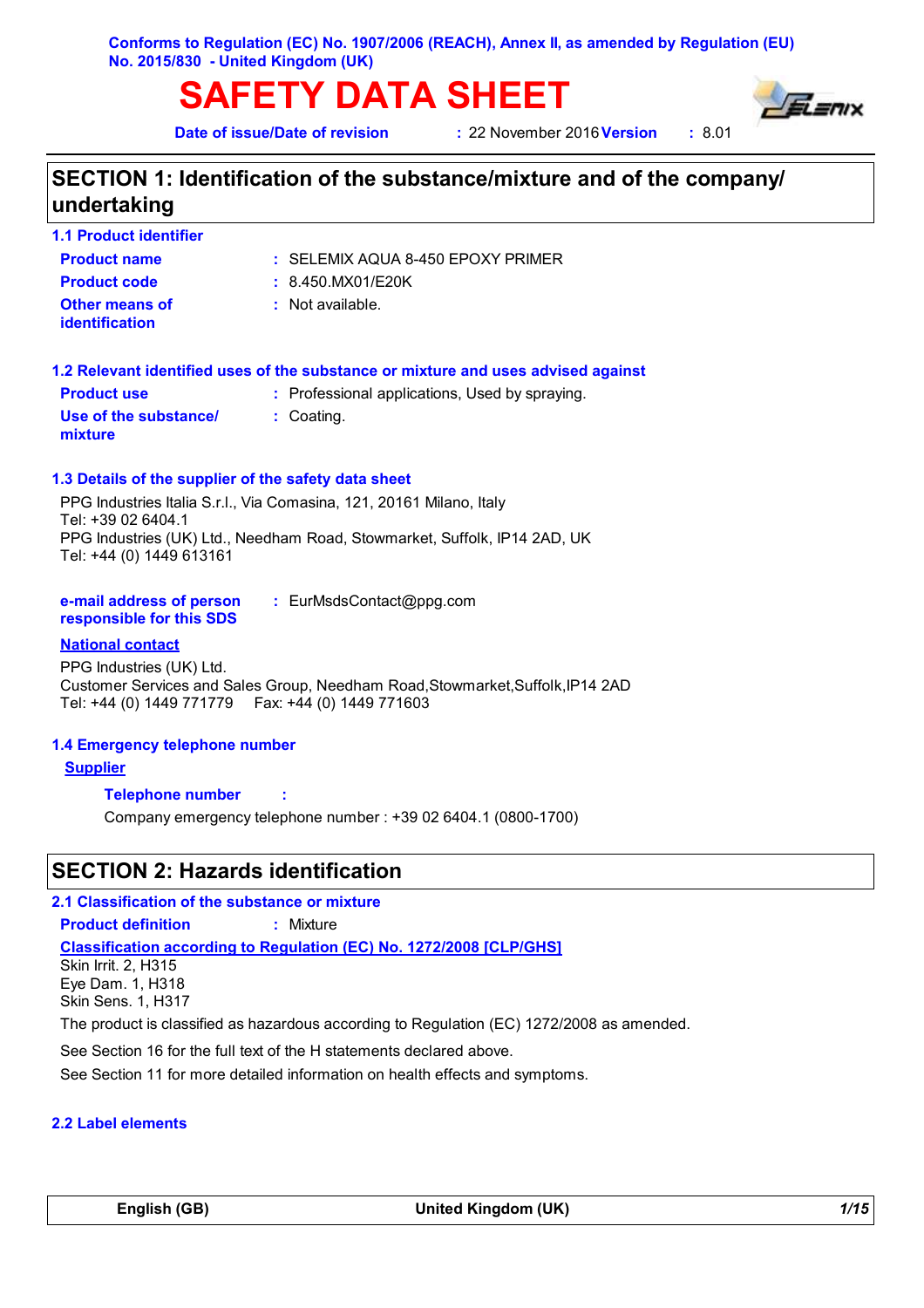**Conforms to Regulation (EC) No. 1907/2006 (REACH), Annex II, as amended by Regulation (EU) No. 2015/830 - United Kingdom (UK)**

# **SAFETY DATA SHEET**

**Date of issue/Date of revision** 

**22 November 2016 Version : 8.01** 



# **SECTION 1: Identification of the substance/mixture and of the company/ undertaking**

| <b>1.1 Product identifier</b> |  |  |  |  |  |  |
|-------------------------------|--|--|--|--|--|--|
|-------------------------------|--|--|--|--|--|--|

**Other means of identification**

**Product name**

**Product code :** 8.450.MX01/E20K

: Not available.

| <b>Product use</b>               | : Professional applications, Used by spraying. |
|----------------------------------|------------------------------------------------|
| Use of the substance/<br>mixture | : Coating.                                     |

#### **1.3 Details of the supplier of the safety data sheet**

PPG Industries Italia S.r.l., Via Comasina, 121, 20161 Milano, Italy Tel: +39 02 6404.1 PPG Industries (UK) Ltd., Needham Road, Stowmarket, Suffolk, IP14 2AD, UK Tel: +44 (0) 1449 613161

| e-mail address of person | : EurMsdsContact@ppg.com |
|--------------------------|--------------------------|
| responsible for this SDS |                          |

#### **National contact**

PPG Industries (UK) Ltd. Customer Services and Sales Group, Needham Road,Stowmarket,Suffolk,IP14 2AD Tel: +44 (0) 1449 771779 Fax: +44 (0) 1449 771603

### **1.4 Emergency telephone number**

**Supplier**

**Telephone number :**

Company emergency telephone number : +39 02 6404.1 (0800-1700)

# **SECTION 2: Hazards identification**

**2.1 Classification of the substance or mixture**

**Product definition :** Mixture

**Classification according to Regulation (EC) No. 1272/2008 [CLP/GHS]**

Skin Irrit. 2, H315 Eye Dam. 1, H318 Skin Sens. 1, H317

The product is classified as hazardous according to Regulation (EC) 1272/2008 as amended.

See Section 16 for the full text of the H statements declared above.

See Section 11 for more detailed information on health effects and symptoms.

#### **2.2 Label elements**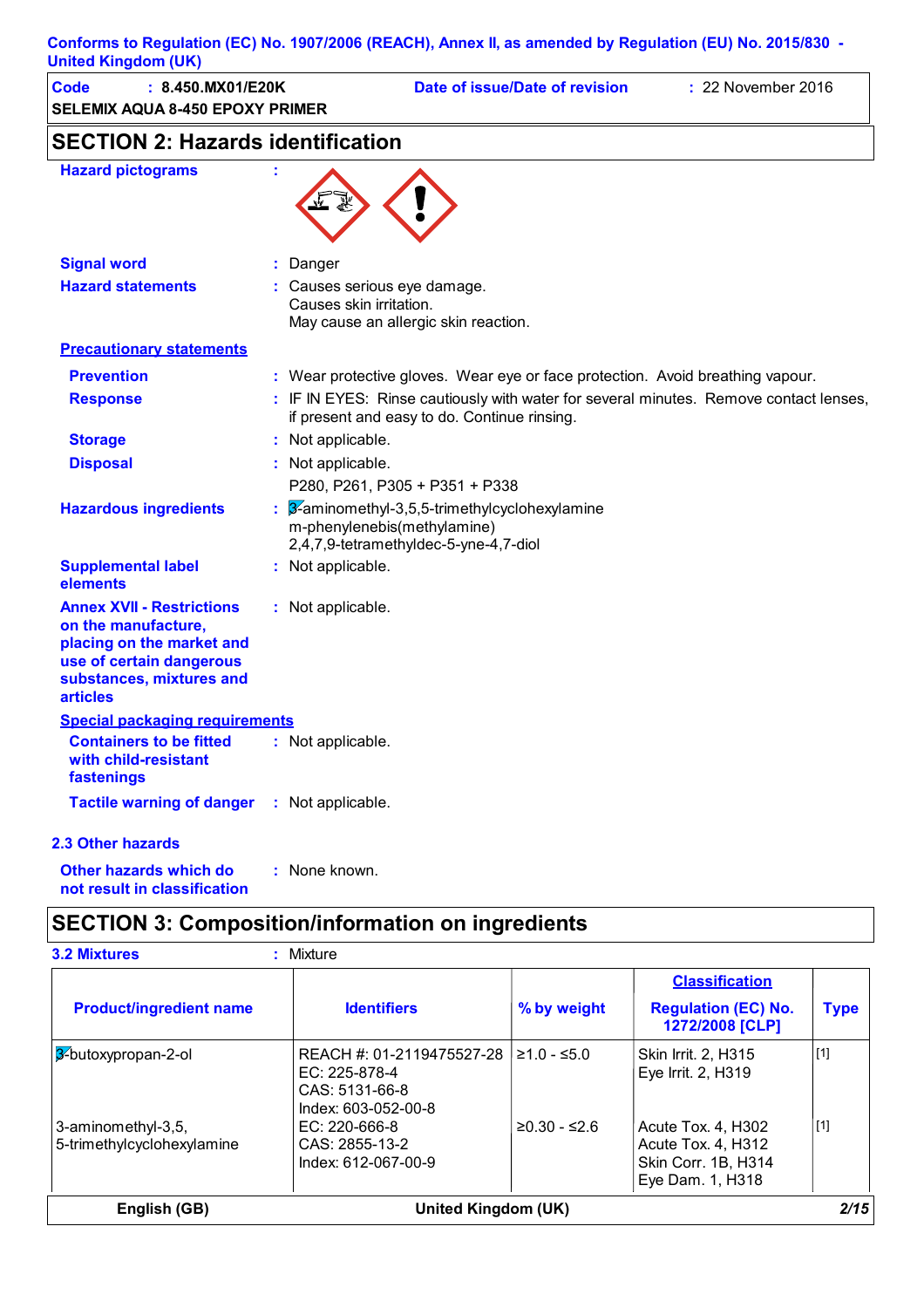| <b>United Kingdom (UK)</b>                                                                                                                                      |                         | Conforms to Regulation (EC) No. 1907/2006 (REACH), Annex II, as amended by Regulation (EU) No. 2015/830 -                             |                    |  |  |  |
|-----------------------------------------------------------------------------------------------------------------------------------------------------------------|-------------------------|---------------------------------------------------------------------------------------------------------------------------------------|--------------------|--|--|--|
| <b>Code</b><br>: 8.450.MX01/E20K<br><b>SELEMIX AQUA 8-450 EPOXY PRIMER</b>                                                                                      |                         | Date of issue/Date of revision                                                                                                        | : 22 November 2016 |  |  |  |
| <b>SECTION 2: Hazards identification</b>                                                                                                                        |                         |                                                                                                                                       |                    |  |  |  |
| <b>Hazard pictograms</b>                                                                                                                                        |                         |                                                                                                                                       |                    |  |  |  |
| <b>Signal word</b>                                                                                                                                              | Danger                  |                                                                                                                                       |                    |  |  |  |
| <b>Hazard statements</b>                                                                                                                                        | Causes skin irritation. | Causes serious eye damage.<br>May cause an allergic skin reaction.                                                                    |                    |  |  |  |
| <b>Precautionary statements</b>                                                                                                                                 |                         |                                                                                                                                       |                    |  |  |  |
| <b>Prevention</b>                                                                                                                                               |                         | : Wear protective gloves. Wear eye or face protection. Avoid breathing vapour.                                                        |                    |  |  |  |
| <b>Response</b>                                                                                                                                                 |                         | : IF IN EYES: Rinse cautiously with water for several minutes. Remove contact lenses,<br>if present and easy to do. Continue rinsing. |                    |  |  |  |
| <b>Storage</b>                                                                                                                                                  | Not applicable.         |                                                                                                                                       |                    |  |  |  |
| <b>Disposal</b>                                                                                                                                                 | Not applicable.         |                                                                                                                                       |                    |  |  |  |
|                                                                                                                                                                 |                         | P280, P261, P305 + P351 + P338                                                                                                        |                    |  |  |  |
| <b>Hazardous ingredients</b>                                                                                                                                    |                         | 3-aminomethyl-3,5,5-trimethylcyclohexylamine<br>m-phenylenebis(methylamine)<br>2,4,7,9-tetramethyldec-5-yne-4,7-diol                  |                    |  |  |  |
| <b>Supplemental label</b><br>elements                                                                                                                           | : Not applicable.       |                                                                                                                                       |                    |  |  |  |
| <b>Annex XVII - Restrictions</b><br>on the manufacture,<br>placing on the market and<br>use of certain dangerous<br>substances, mixtures and<br><b>articles</b> | : Not applicable.       |                                                                                                                                       |                    |  |  |  |
| <b>Special packaging requirements</b>                                                                                                                           |                         |                                                                                                                                       |                    |  |  |  |
| <b>Containers to be fitted</b><br>with child-resistant<br>fastenings                                                                                            | : Not applicable.       |                                                                                                                                       |                    |  |  |  |
| <b>Tactile warning of danger</b>                                                                                                                                | : Not applicable.       |                                                                                                                                       |                    |  |  |  |
| 2.3 Other hazards                                                                                                                                               |                         |                                                                                                                                       |                    |  |  |  |
| <b>Other hazards which do</b><br>not result in classification                                                                                                   | : None known.           |                                                                                                                                       |                    |  |  |  |

# **SECTION 3: Composition/information on ingredients**

|                                                  |                                                                                     |                | <b>Classification</b>                                                               |             |
|--------------------------------------------------|-------------------------------------------------------------------------------------|----------------|-------------------------------------------------------------------------------------|-------------|
| <b>Product/ingredient name</b>                   | <b>Identifiers</b>                                                                  | % by weight    | <b>Regulation (EC) No.</b><br>1272/2008 [CLP]                                       | <b>Type</b> |
| 3-butoxypropan-2-ol                              | REACH #: 01-2119475527-28<br>EC: 225-878-4<br>CAS: 5131-66-8<br>Index: 603-052-00-8 | $≥1.0 - ≤5.0$  | <b>Skin Irrit. 2. H315</b><br>Eye Irrit. 2, H319                                    | $[1]$       |
| 3-aminomethyl-3,5,<br>5-trimethylcyclohexylamine | $EC: 220-666-8$<br>CAS: 2855-13-2<br>Index: 612-067-00-9                            | $≥0.30 - ≤2.6$ | Acute Tox. 4, H302<br>Acute Tox. 4, H312<br>Skin Corr. 1B, H314<br>Eye Dam. 1, H318 | $[1]$       |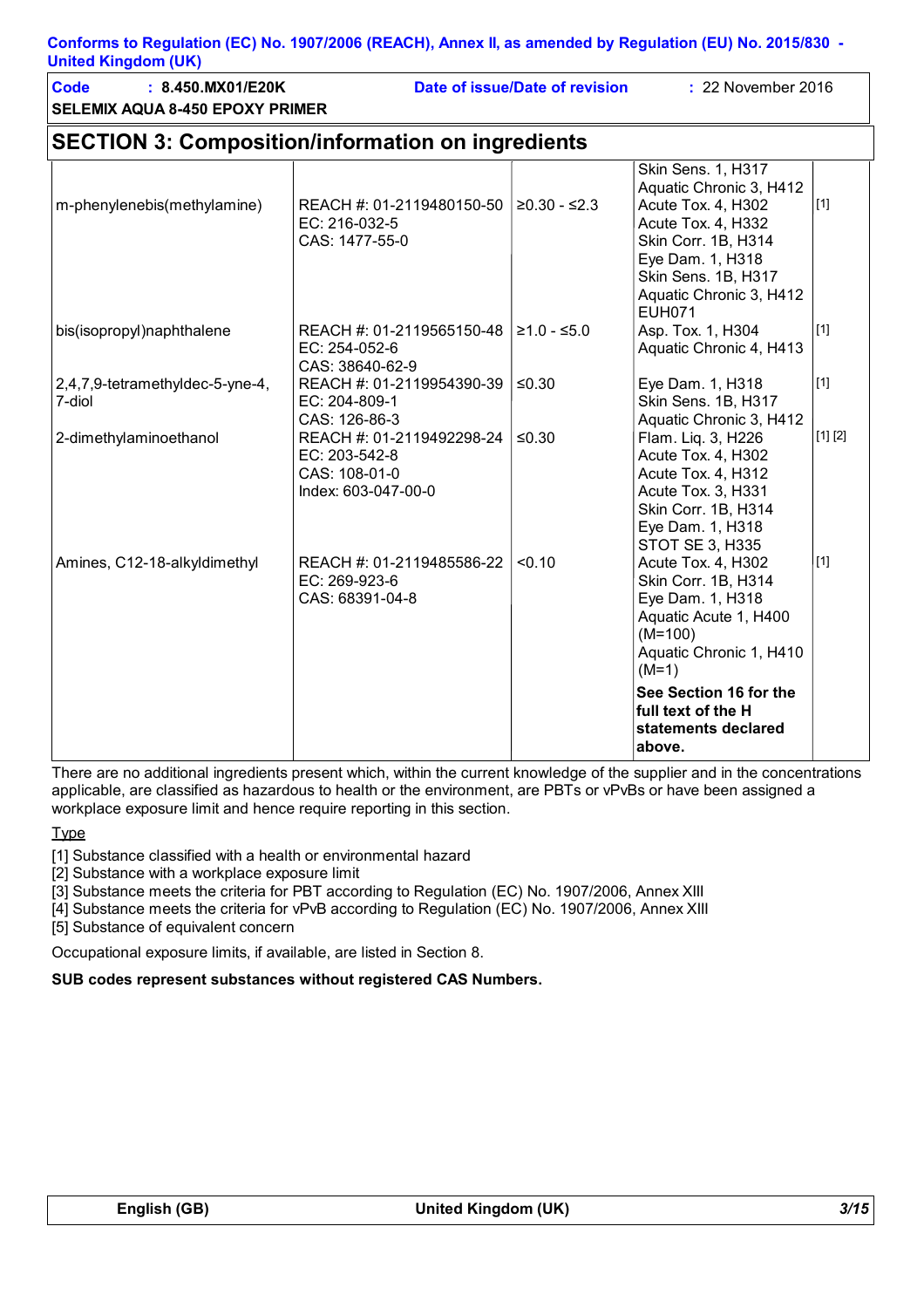**SELEMIX AQUA 8-450 EPOXY PRIMER Code : 8.450.MX01/E20K Date of issue/Date of revision :** 22 November 2016

# **SECTION 3: Composition/information on ingredients**

| m-phenylenebis(methylamine)               | REACH #: 01-2119480150-50<br>EC: 216-032-5<br>CAS: 1477-55-0                       | $≥0.30 - ≤2.3$ | Skin Sens. 1, H317<br>Aquatic Chronic 3, H412<br>Acute Tox. 4, H302<br>Acute Tox. 4, H332<br>Skin Corr. 1B, H314<br>Eye Dam. 1, H318<br>Skin Sens. 1B, H317<br>Aquatic Chronic 3, H412<br><b>EUH071</b> | $[1]$   |
|-------------------------------------------|------------------------------------------------------------------------------------|----------------|---------------------------------------------------------------------------------------------------------------------------------------------------------------------------------------------------------|---------|
| bis(isopropyl)naphthalene                 | REACH #: 01-2119565150-48<br>EC: 254-052-6<br>CAS: 38640-62-9                      | $≥1.0 - ≤5.0$  | Asp. Tox. 1, H304<br>Aquatic Chronic 4, H413                                                                                                                                                            | $[1]$   |
| 2,4,7,9-tetramethyldec-5-yne-4,<br>7-diol | REACH #: 01-2119954390-39<br>EC: 204-809-1<br>CAS: 126-86-3                        | ≤0.30          | Eye Dam. 1, H318<br>Skin Sens. 1B, H317<br>Aquatic Chronic 3, H412                                                                                                                                      | $[1]$   |
| 2-dimethylaminoethanol                    | REACH #: 01-2119492298-24<br>EC: 203-542-8<br>CAS: 108-01-0<br>Index: 603-047-00-0 | $\leq 0.30$    | Flam. Liq. 3, H226<br>Acute Tox. 4, H302<br>Acute Tox. 4, H312<br>Acute Tox. 3, H331<br>Skin Corr. 1B, H314<br>Eye Dam. 1, H318<br><b>STOT SE 3, H335</b>                                               | [1] [2] |
| Amines, C12-18-alkyldimethyl              | REACH #: 01-2119485586-22<br>EC: 269-923-6<br>CAS: 68391-04-8                      | < 0.10         | Acute Tox. 4, H302<br>Skin Corr. 1B, H314<br>Eye Dam. 1, H318<br>Aquatic Acute 1, H400<br>$(M=100)$<br>Aquatic Chronic 1, H410<br>$(M=1)$                                                               | $[1]$   |
|                                           |                                                                                    |                | See Section 16 for the<br>full text of the H<br>statements declared<br>above.                                                                                                                           |         |

There are no additional ingredients present which, within the current knowledge of the supplier and in the concentrations applicable, are classified as hazardous to health or the environment, are PBTs or vPvBs or have been assigned a workplace exposure limit and hence require reporting in this section.

**Type** 

[1] Substance classified with a health or environmental hazard

[2] Substance with a workplace exposure limit

[3] Substance meets the criteria for PBT according to Regulation (EC) No. 1907/2006, Annex XIII

[4] Substance meets the criteria for vPvB according to Regulation (EC) No. 1907/2006, Annex XIII

[5] Substance of equivalent concern

Occupational exposure limits, if available, are listed in Section 8.

**SUB codes represent substances without registered CAS Numbers.**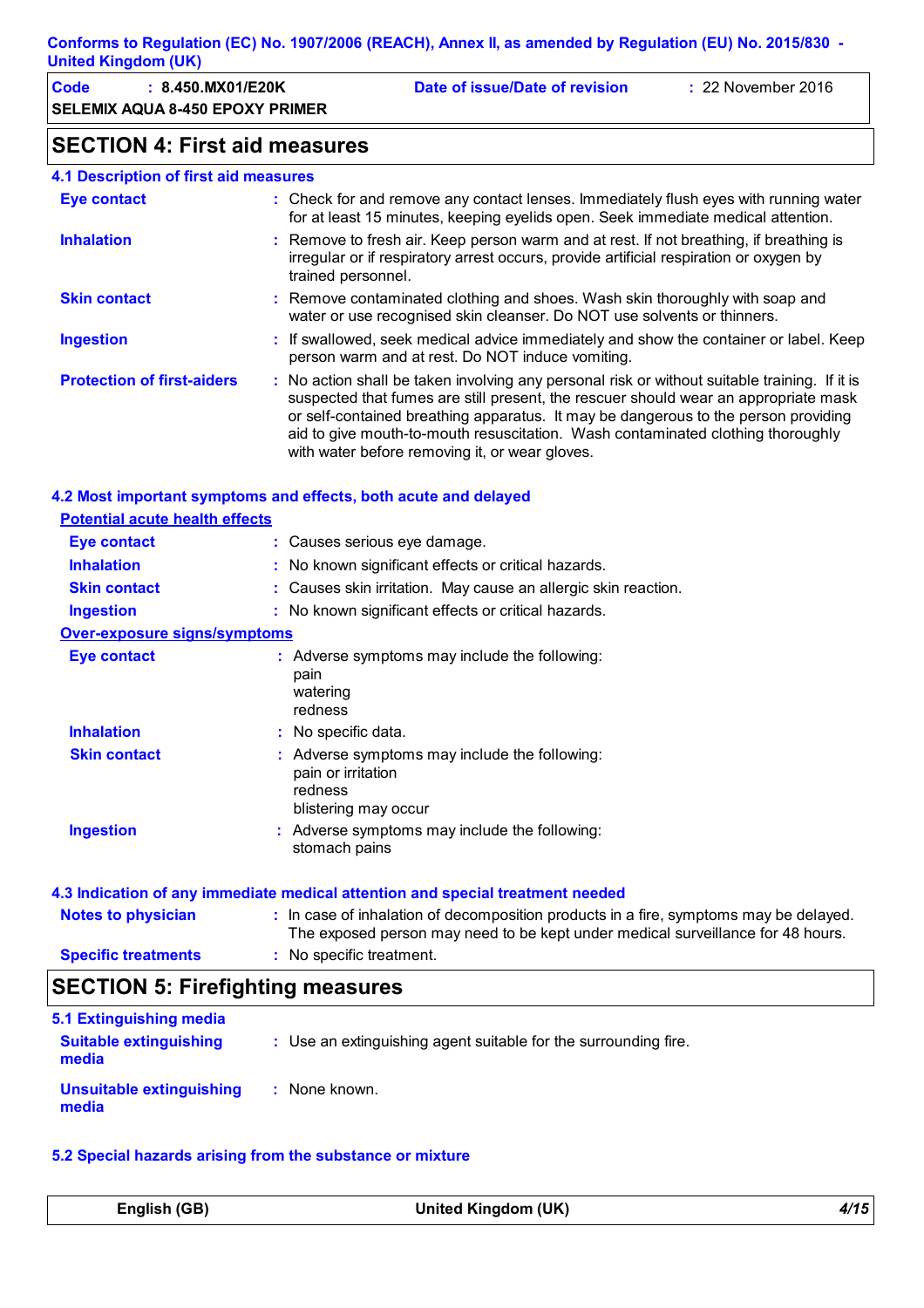| Code | : 8.450.MX01/E20K                      | Date of issue/Date of revision | $\div$ 22 November 2016 |
|------|----------------------------------------|--------------------------------|-------------------------|
|      | <b>SELEMIX AQUA 8-450 EPOXY PRIMER</b> |                                |                         |

# **SECTION 4: First aid measures**

#### **4.1 Description of first aid measures**

| <b>Eye contact</b>                | : Check for and remove any contact lenses. Immediately flush eyes with running water<br>for at least 15 minutes, keeping eyelids open. Seek immediate medical attention.                                                                                                                                                                                                                                        |
|-----------------------------------|-----------------------------------------------------------------------------------------------------------------------------------------------------------------------------------------------------------------------------------------------------------------------------------------------------------------------------------------------------------------------------------------------------------------|
| <b>Inhalation</b>                 | : Remove to fresh air. Keep person warm and at rest. If not breathing, if breathing is<br>irregular or if respiratory arrest occurs, provide artificial respiration or oxygen by<br>trained personnel.                                                                                                                                                                                                          |
| <b>Skin contact</b>               | : Remove contaminated clothing and shoes. Wash skin thoroughly with soap and<br>water or use recognised skin cleanser. Do NOT use solvents or thinners.                                                                                                                                                                                                                                                         |
| <b>Ingestion</b>                  | : If swallowed, seek medical advice immediately and show the container or label. Keep<br>person warm and at rest. Do NOT induce vomiting.                                                                                                                                                                                                                                                                       |
| <b>Protection of first-aiders</b> | : No action shall be taken involving any personal risk or without suitable training. If it is<br>suspected that fumes are still present, the rescuer should wear an appropriate mask<br>or self-contained breathing apparatus. It may be dangerous to the person providing<br>aid to give mouth-to-mouth resuscitation. Wash contaminated clothing thoroughly<br>with water before removing it, or wear gloves. |

#### **4.2 Most important symptoms and effects, both acute and delayed**

| <b>Potential acute health effects</b>   |                                                                                                                                                                          |
|-----------------------------------------|--------------------------------------------------------------------------------------------------------------------------------------------------------------------------|
| <b>Eye contact</b>                      | : Causes serious eye damage.                                                                                                                                             |
| <b>Inhalation</b>                       | : No known significant effects or critical hazards.                                                                                                                      |
| <b>Skin contact</b>                     | : Causes skin irritation. May cause an allergic skin reaction.                                                                                                           |
| <b>Ingestion</b>                        | : No known significant effects or critical hazards.                                                                                                                      |
| <b>Over-exposure signs/symptoms</b>     |                                                                                                                                                                          |
| <b>Eye contact</b>                      | : Adverse symptoms may include the following:<br>pain<br>watering<br>redness                                                                                             |
| <b>Inhalation</b>                       | : No specific data.                                                                                                                                                      |
| <b>Skin contact</b>                     | : Adverse symptoms may include the following:<br>pain or irritation<br>redness<br>blistering may occur                                                                   |
| <b>Ingestion</b>                        | : Adverse symptoms may include the following:<br>stomach pains                                                                                                           |
|                                         | 4.3 Indication of any immediate medical attention and special treatment needed                                                                                           |
| <b>Notes to physician</b>               | : In case of inhalation of decomposition products in a fire, symptoms may be delayed.<br>The exposed person may need to be kept under medical surveillance for 48 hours. |
| <b>Specific treatments</b>              | : No specific treatment.                                                                                                                                                 |
| <b>SECTION 5: Firefighting measures</b> |                                                                                                                                                                          |

| 5.1 Extinguishing media                  |                                                                 |
|------------------------------------------|-----------------------------------------------------------------|
| <b>Suitable extinguishing</b><br>media   | : Use an extinguishing agent suitable for the surrounding fire. |
| <b>Unsuitable extinguishing</b><br>media | None known.                                                     |

#### **5.2 Special hazards arising from the substance or mixture**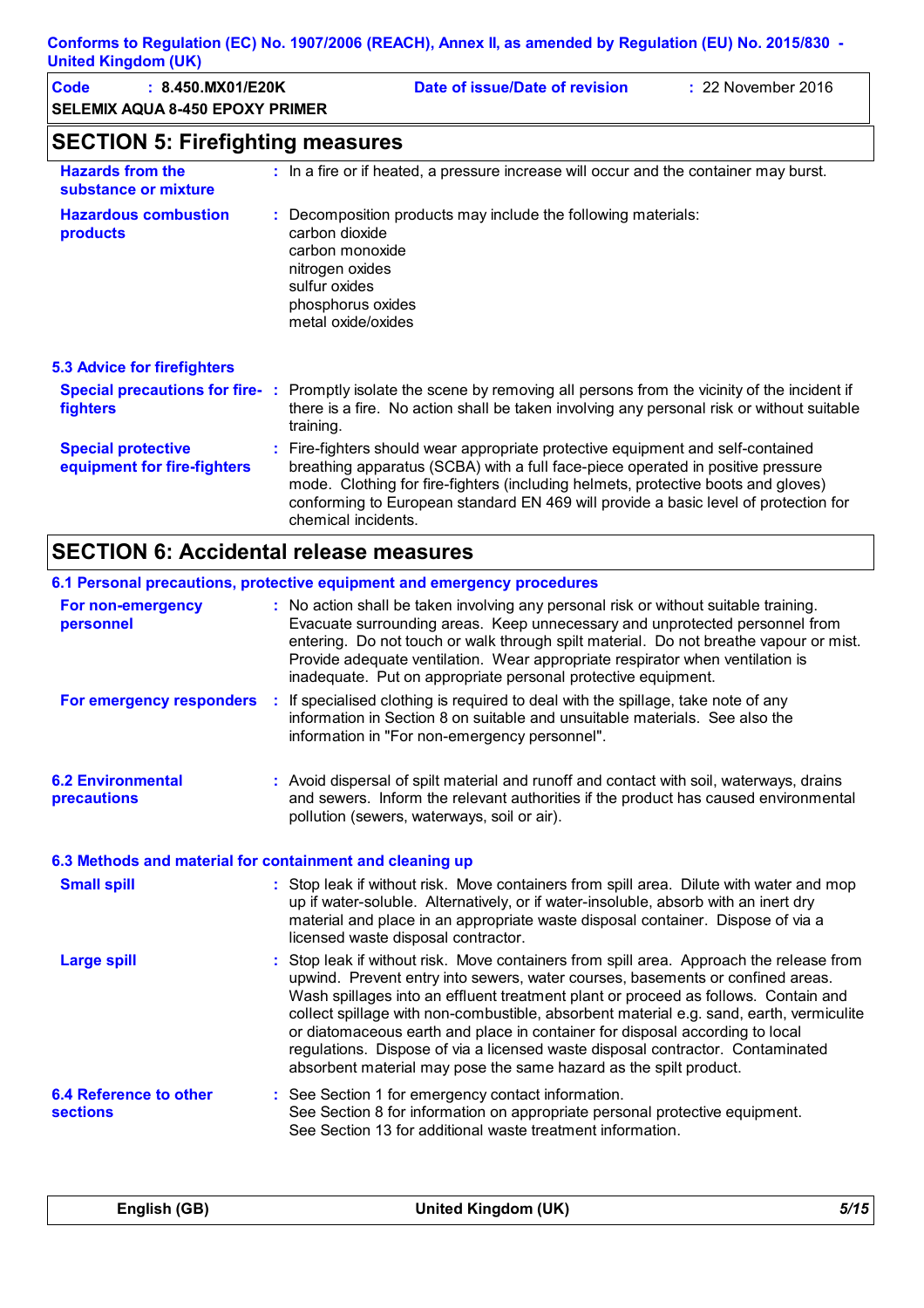| <b>Code</b><br>: 8.450.MX01/E20K<br><b>SELEMIX AQUA 8-450 EPOXY PRIMER</b> |                                                    | Date of issue/Date of revision                                                                                                                                                                                                                                                                                                                                        | : 22 November 2016 |
|----------------------------------------------------------------------------|----------------------------------------------------|-----------------------------------------------------------------------------------------------------------------------------------------------------------------------------------------------------------------------------------------------------------------------------------------------------------------------------------------------------------------------|--------------------|
| <b>SECTION 5: Firefighting measures</b>                                    |                                                    |                                                                                                                                                                                                                                                                                                                                                                       |                    |
| <b>Hazards from the</b><br>substance or mixture                            |                                                    | : In a fire or if heated, a pressure increase will occur and the container may burst.                                                                                                                                                                                                                                                                                 |                    |
| <b>Hazardous combustion</b><br>products                                    | carbon dioxide<br>nitrogen oxides<br>sulfur oxides | Decomposition products may include the following materials:<br>carbon monoxide<br>phosphorus oxides<br>metal oxide/oxides                                                                                                                                                                                                                                             |                    |
| <b>5.3 Advice for firefighters</b>                                         |                                                    |                                                                                                                                                                                                                                                                                                                                                                       |                    |
| fighters                                                                   | training.                                          | Special precautions for fire-: Promptly isolate the scene by removing all persons from the vicinity of the incident if<br>there is a fire. No action shall be taken involving any personal risk or without suitable                                                                                                                                                   |                    |
| <b>Special protective</b><br>equipment for fire-fighters                   |                                                    | : Fire-fighters should wear appropriate protective equipment and self-contained<br>breathing apparatus (SCBA) with a full face-piece operated in positive pressure<br>mode. Clothing for fire-fighters (including helmets, protective boots and gloves)<br>conforming to European standard EN 469 will provide a basic level of protection for<br>chemical incidents. |                    |

# **SECTION 6: Accidental release measures**

|                                                          | 6.1 Personal precautions, protective equipment and emergency procedures                                                                                                                                                                                                                                                                                                                                                                                                                                                                                                                           |
|----------------------------------------------------------|---------------------------------------------------------------------------------------------------------------------------------------------------------------------------------------------------------------------------------------------------------------------------------------------------------------------------------------------------------------------------------------------------------------------------------------------------------------------------------------------------------------------------------------------------------------------------------------------------|
| For non-emergency<br>personnel                           | : No action shall be taken involving any personal risk or without suitable training.<br>Evacuate surrounding areas. Keep unnecessary and unprotected personnel from<br>entering. Do not touch or walk through spilt material. Do not breathe vapour or mist.<br>Provide adequate ventilation. Wear appropriate respirator when ventilation is<br>inadequate. Put on appropriate personal protective equipment.                                                                                                                                                                                    |
| For emergency responders                                 | If specialised clothing is required to deal with the spillage, take note of any<br>-11<br>information in Section 8 on suitable and unsuitable materials. See also the<br>information in "For non-emergency personnel".                                                                                                                                                                                                                                                                                                                                                                            |
| <b>6.2 Environmental</b><br>precautions                  | : Avoid dispersal of spilt material and runoff and contact with soil, waterways, drains<br>and sewers. Inform the relevant authorities if the product has caused environmental<br>pollution (sewers, waterways, soil or air).                                                                                                                                                                                                                                                                                                                                                                     |
| 6.3 Methods and material for containment and cleaning up |                                                                                                                                                                                                                                                                                                                                                                                                                                                                                                                                                                                                   |
| <b>Small spill</b>                                       | : Stop leak if without risk. Move containers from spill area. Dilute with water and mop<br>up if water-soluble. Alternatively, or if water-insoluble, absorb with an inert dry<br>material and place in an appropriate waste disposal container. Dispose of via a<br>licensed waste disposal contractor.                                                                                                                                                                                                                                                                                          |
| <b>Large spill</b>                                       | : Stop leak if without risk. Move containers from spill area. Approach the release from<br>upwind. Prevent entry into sewers, water courses, basements or confined areas.<br>Wash spillages into an effluent treatment plant or proceed as follows. Contain and<br>collect spillage with non-combustible, absorbent material e.g. sand, earth, vermiculite<br>or diatomaceous earth and place in container for disposal according to local<br>regulations. Dispose of via a licensed waste disposal contractor. Contaminated<br>absorbent material may pose the same hazard as the spilt product. |
| 6.4 Reference to other<br><b>sections</b>                | : See Section 1 for emergency contact information.<br>See Section 8 for information on appropriate personal protective equipment.<br>See Section 13 for additional waste treatment information.                                                                                                                                                                                                                                                                                                                                                                                                   |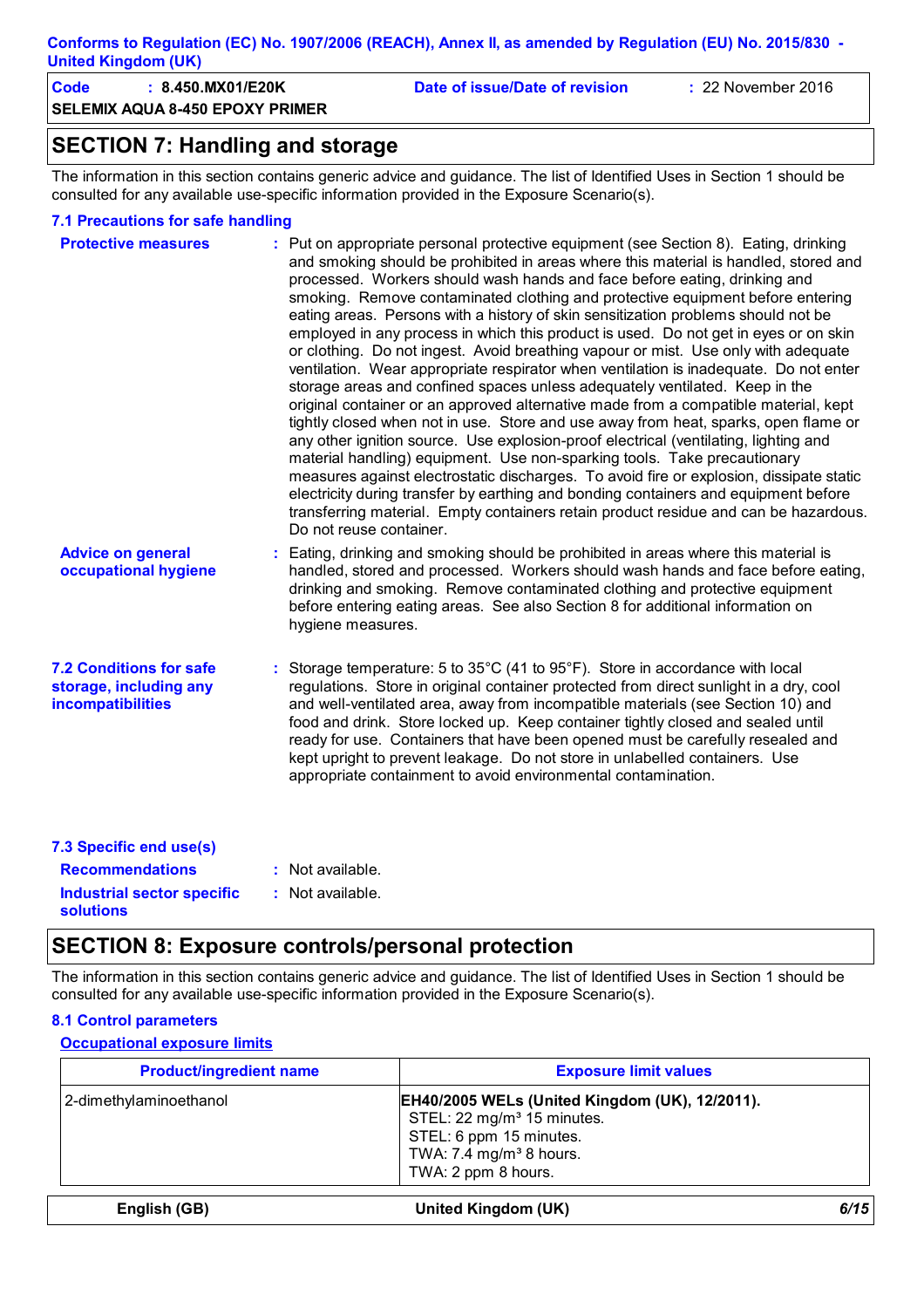**SELEMIX AQUA 8-450 EPOXY PRIMER Code : 8.450.MX01/E20K Date of issue/Date of revision :** 22 November 2016

# **SECTION 7: Handling and storage**

The information in this section contains generic advice and guidance. The list of Identified Uses in Section 1 should be consulted for any available use-specific information provided in the Exposure Scenario(s).

#### **7.1 Precautions for safe handling**

| <b>Protective measures</b>                                                           | : Put on appropriate personal protective equipment (see Section 8). Eating, drinking<br>and smoking should be prohibited in areas where this material is handled, stored and<br>processed. Workers should wash hands and face before eating, drinking and<br>smoking. Remove contaminated clothing and protective equipment before entering<br>eating areas. Persons with a history of skin sensitization problems should not be<br>employed in any process in which this product is used. Do not get in eyes or on skin<br>or clothing. Do not ingest. Avoid breathing vapour or mist. Use only with adequate<br>ventilation. Wear appropriate respirator when ventilation is inadequate. Do not enter<br>storage areas and confined spaces unless adequately ventilated. Keep in the<br>original container or an approved alternative made from a compatible material, kept<br>tightly closed when not in use. Store and use away from heat, sparks, open flame or<br>any other ignition source. Use explosion-proof electrical (ventilating, lighting and<br>material handling) equipment. Use non-sparking tools. Take precautionary<br>measures against electrostatic discharges. To avoid fire or explosion, dissipate static<br>electricity during transfer by earthing and bonding containers and equipment before<br>transferring material. Empty containers retain product residue and can be hazardous.<br>Do not reuse container. |
|--------------------------------------------------------------------------------------|-----------------------------------------------------------------------------------------------------------------------------------------------------------------------------------------------------------------------------------------------------------------------------------------------------------------------------------------------------------------------------------------------------------------------------------------------------------------------------------------------------------------------------------------------------------------------------------------------------------------------------------------------------------------------------------------------------------------------------------------------------------------------------------------------------------------------------------------------------------------------------------------------------------------------------------------------------------------------------------------------------------------------------------------------------------------------------------------------------------------------------------------------------------------------------------------------------------------------------------------------------------------------------------------------------------------------------------------------------------------------------------------------------------------------------------------------|
| <b>Advice on general</b><br>occupational hygiene                                     | : Eating, drinking and smoking should be prohibited in areas where this material is<br>handled, stored and processed. Workers should wash hands and face before eating,<br>drinking and smoking. Remove contaminated clothing and protective equipment<br>before entering eating areas. See also Section 8 for additional information on<br>hygiene measures.                                                                                                                                                                                                                                                                                                                                                                                                                                                                                                                                                                                                                                                                                                                                                                                                                                                                                                                                                                                                                                                                                 |
| <b>7.2 Conditions for safe</b><br>storage, including any<br><b>incompatibilities</b> | : Storage temperature: 5 to $35^{\circ}$ C (41 to $95^{\circ}$ F). Store in accordance with local<br>regulations. Store in original container protected from direct sunlight in a dry, cool<br>and well-ventilated area, away from incompatible materials (see Section 10) and<br>food and drink. Store locked up. Keep container tightly closed and sealed until<br>ready for use. Containers that have been opened must be carefully resealed and<br>kept upright to prevent leakage. Do not store in unlabelled containers. Use<br>appropriate containment to avoid environmental contamination.                                                                                                                                                                                                                                                                                                                                                                                                                                                                                                                                                                                                                                                                                                                                                                                                                                           |
| 7.3 Specific end use(s)<br><b>Recommendations</b>                                    | : Not available.                                                                                                                                                                                                                                                                                                                                                                                                                                                                                                                                                                                                                                                                                                                                                                                                                                                                                                                                                                                                                                                                                                                                                                                                                                                                                                                                                                                                                              |
| <b>Industrial sector specific</b><br><b>solutions</b>                                | : Not available.                                                                                                                                                                                                                                                                                                                                                                                                                                                                                                                                                                                                                                                                                                                                                                                                                                                                                                                                                                                                                                                                                                                                                                                                                                                                                                                                                                                                                              |

### **SECTION 8: Exposure controls/personal protection**

The information in this section contains generic advice and guidance. The list of Identified Uses in Section 1 should be consulted for any available use-specific information provided in the Exposure Scenario(s).

#### **8.1 Control parameters**

#### **Occupational exposure limits**

| <b>Product/ingredient name</b> | <b>Exposure limit values</b>                                                                                                                                                             |
|--------------------------------|------------------------------------------------------------------------------------------------------------------------------------------------------------------------------------------|
| 2-dimethylaminoethanol         | <b>EH40/2005 WELs (United Kingdom (UK), 12/2011).</b><br>STEL: 22 mg/m <sup>3</sup> 15 minutes.<br>STEL: 6 ppm 15 minutes.<br>TWA: 7.4 mg/m <sup>3</sup> 8 hours.<br>TWA: 2 ppm 8 hours. |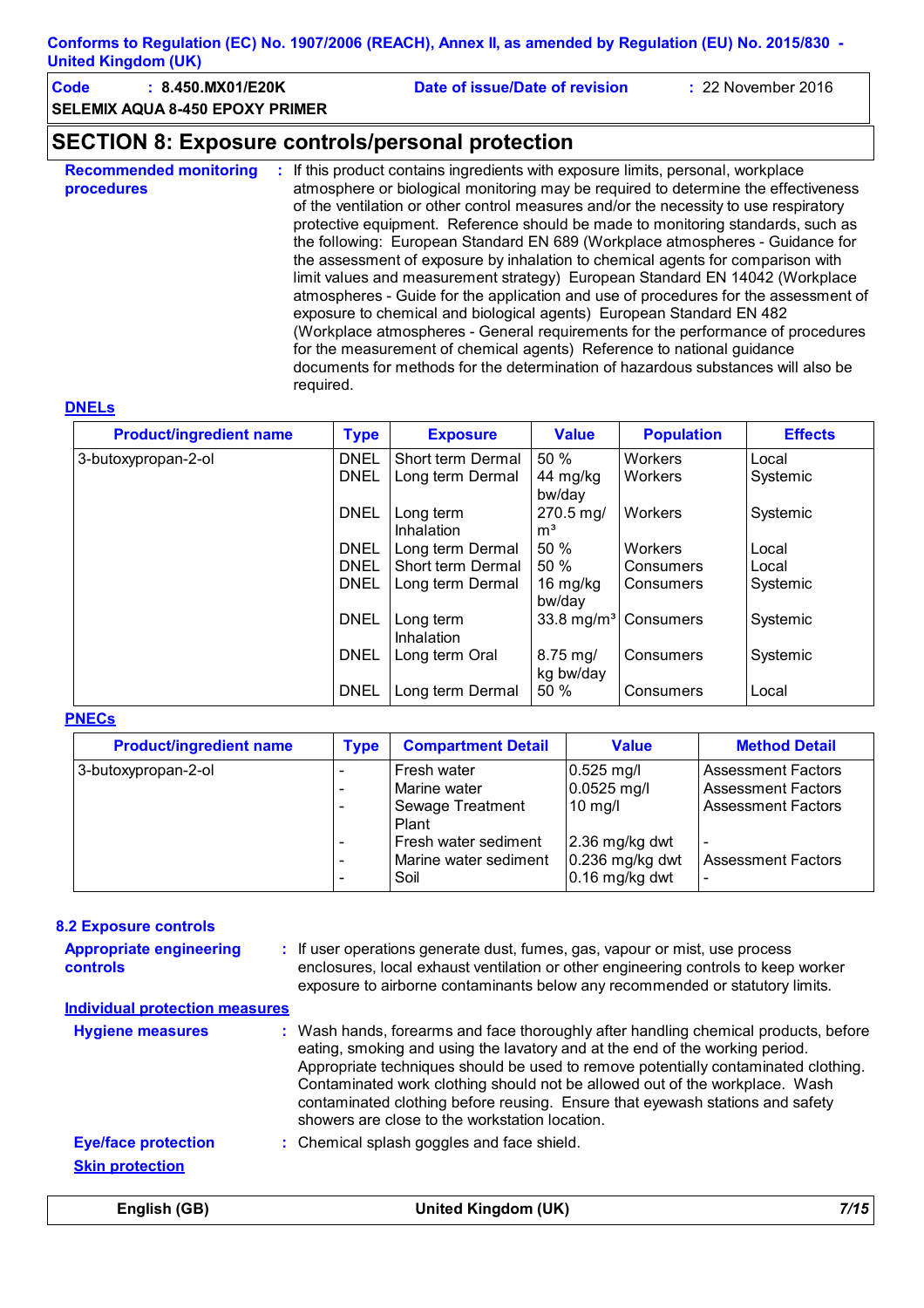| Code | : 8.450.MX01/E20K               | Date of issue/Date of revision | $\div$ 22 November 2016 |
|------|---------------------------------|--------------------------------|-------------------------|
|      | SELEMIX AQUA 8-450 EPOXY PRIMER |                                |                         |

### **SECTION 8: Exposure controls/personal protection**

**Recommended monitoring procedures :** If this product contains ingredients with exposure limits, personal, workplace atmosphere or biological monitoring may be required to determine the effectiveness of the ventilation or other control measures and/or the necessity to use respiratory protective equipment. Reference should be made to monitoring standards, such as the following: European Standard EN 689 (Workplace atmospheres - Guidance for the assessment of exposure by inhalation to chemical agents for comparison with limit values and measurement strategy) European Standard EN 14042 (Workplace atmospheres - Guide for the application and use of procedures for the assessment of exposure to chemical and biological agents) European Standard EN 482 (Workplace atmospheres - General requirements for the performance of procedures for the measurement of chemical agents) Reference to national guidance documents for methods for the determination of hazardous substances will also be required.

#### **DNELs**

| <b>Product/ingredient name</b> | <b>Type</b> | <b>Exposure</b>         | <b>Value</b>                      | <b>Population</b>                | <b>Effects</b> |
|--------------------------------|-------------|-------------------------|-----------------------------------|----------------------------------|----------------|
| 3-butoxypropan-2-ol            | <b>DNEL</b> | Short term Dermal       | 50 %                              | Workers                          | Local          |
|                                | <b>DNEL</b> | Long term Dermal        | 44 mg/kg<br>bw/day                | Workers                          | Systemic       |
|                                | <b>DNEL</b> | Long term               | 270.5 mg/                         | Workers                          | Systemic       |
|                                |             | Inhalation              | m <sup>3</sup>                    |                                  |                |
|                                | <b>DNEL</b> | Long term Dermal        | 50%                               | Workers                          | Local          |
|                                | <b>DNEL</b> | Short term Dermal       | 50 %                              | Consumers                        | Local          |
|                                | <b>DNEL</b> | Long term Dermal        | 16 mg/kg<br>bw/day                | Consumers                        | Systemic       |
|                                | <b>DNEL</b> | Long term<br>Inhalation |                                   | 33.8 mg/m <sup>3</sup> Consumers | Systemic       |
|                                | <b>DNEL</b> | Long term Oral          | $8.75 \,\mathrm{mg}$<br>kg bw/day | Consumers                        | Systemic       |
|                                | <b>DNEL</b> | Long term Dermal        | 50 %                              | Consumers                        | Local          |

#### **PNECs**

| <b>Product/ingredient name</b> | <b>Type</b>                                               | <b>Compartment Detail</b>                                                                                         | <b>Value</b>                                                                                    | <b>Method Detail</b>                                                                                             |
|--------------------------------|-----------------------------------------------------------|-------------------------------------------------------------------------------------------------------------------|-------------------------------------------------------------------------------------------------|------------------------------------------------------------------------------------------------------------------|
| 3-butoxypropan-2-ol            | -<br>$\overline{\phantom{a}}$<br>$\overline{\phantom{a}}$ | Fresh water<br>Marine water<br>Sewage Treatment<br>Plant<br>Fresh water sediment<br>Marine water sediment<br>Soil | 0.525 mg/l<br>$0.0525$ mg/l<br>$10$ mg/l<br>2.36 mg/kg dwt<br>0.236 mg/kg dwt<br>0.16 mg/kg dwt | <b>Assessment Factors</b><br><b>Assessment Factors</b><br><b>Assessment Factors</b><br><b>Assessment Factors</b> |

| <b>8.2 Exposure controls</b>               |                                                                                                                                                                                                                                                                                                                                                                                                                                                                             |
|--------------------------------------------|-----------------------------------------------------------------------------------------------------------------------------------------------------------------------------------------------------------------------------------------------------------------------------------------------------------------------------------------------------------------------------------------------------------------------------------------------------------------------------|
| <b>Appropriate engineering</b><br>controls | : If user operations generate dust, fumes, gas, vapour or mist, use process<br>enclosures, local exhaust ventilation or other engineering controls to keep worker<br>exposure to airborne contaminants below any recommended or statutory limits.                                                                                                                                                                                                                           |
| <b>Individual protection measures</b>      |                                                                                                                                                                                                                                                                                                                                                                                                                                                                             |
| <b>Hygiene measures</b>                    | : Wash hands, forearms and face thoroughly after handling chemical products, before<br>eating, smoking and using the lavatory and at the end of the working period.<br>Appropriate techniques should be used to remove potentially contaminated clothing.<br>Contaminated work clothing should not be allowed out of the workplace. Wash<br>contaminated clothing before reusing. Ensure that eyewash stations and safety<br>showers are close to the workstation location. |
| <b>Eye/face protection</b>                 | : Chemical splash goggles and face shield.                                                                                                                                                                                                                                                                                                                                                                                                                                  |
| <b>Skin protection</b>                     |                                                                                                                                                                                                                                                                                                                                                                                                                                                                             |

**English (GB) United Kingdom (UK)** *7/15*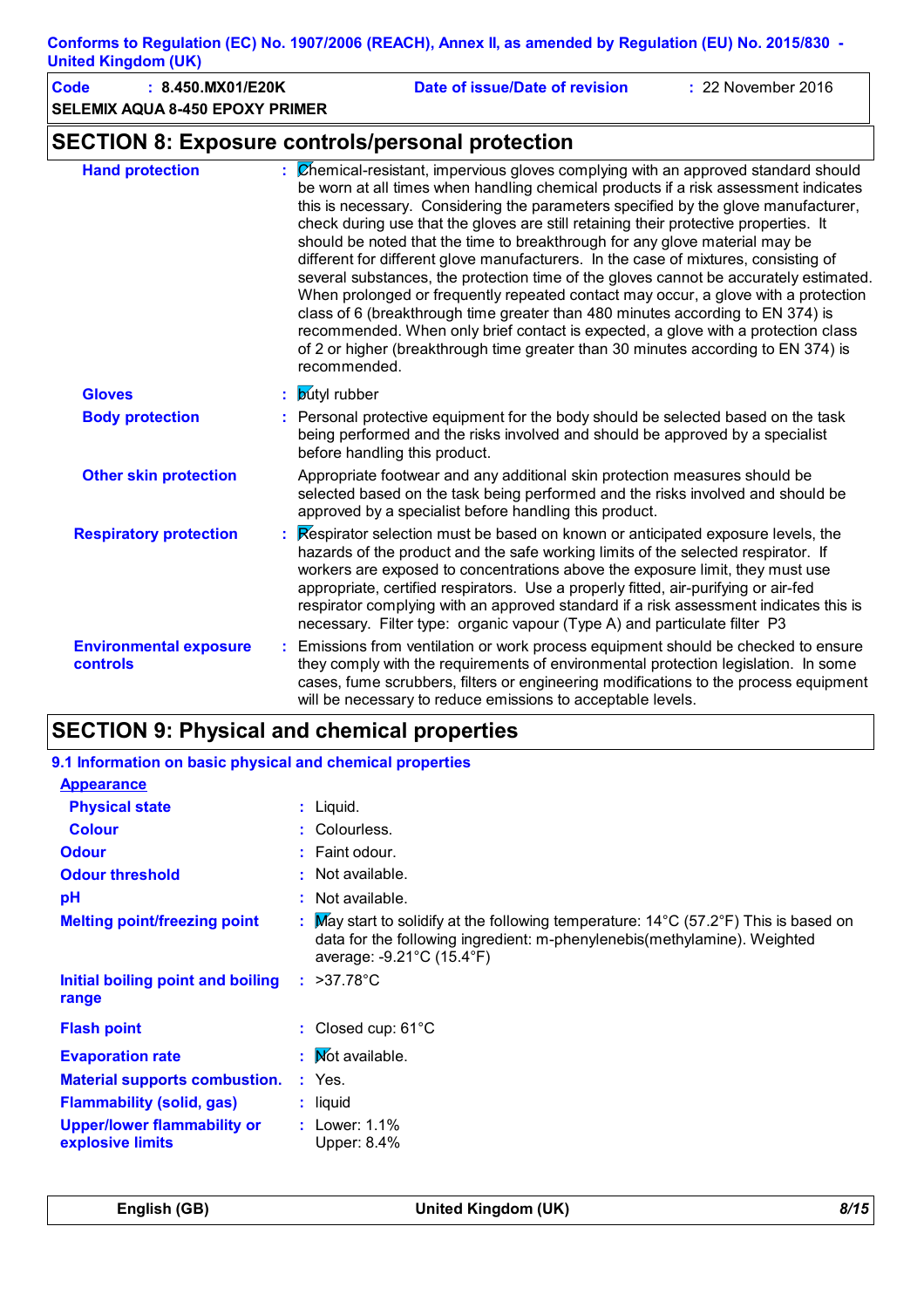| <b>Code</b><br>: 8.450.MX01/E20K<br><b>SELEMIX AQUA 8-450 EPOXY PRIMER</b> | : 22 November 2016<br>Date of issue/Date of revision                                                                                                                                                                                                                                                                                                                                                                                                                                                                                                                                                                                                                                                                                                                                                                                                                                                                                                                                     |
|----------------------------------------------------------------------------|------------------------------------------------------------------------------------------------------------------------------------------------------------------------------------------------------------------------------------------------------------------------------------------------------------------------------------------------------------------------------------------------------------------------------------------------------------------------------------------------------------------------------------------------------------------------------------------------------------------------------------------------------------------------------------------------------------------------------------------------------------------------------------------------------------------------------------------------------------------------------------------------------------------------------------------------------------------------------------------|
|                                                                            | <b>SECTION 8: Exposure controls/personal protection</b>                                                                                                                                                                                                                                                                                                                                                                                                                                                                                                                                                                                                                                                                                                                                                                                                                                                                                                                                  |
| <b>Hand protection</b>                                                     | : Chemical-resistant, impervious gloves complying with an approved standard should<br>be worn at all times when handling chemical products if a risk assessment indicates<br>this is necessary. Considering the parameters specified by the glove manufacturer,<br>check during use that the gloves are still retaining their protective properties. It<br>should be noted that the time to breakthrough for any glove material may be<br>different for different glove manufacturers. In the case of mixtures, consisting of<br>several substances, the protection time of the gloves cannot be accurately estimated.<br>When prolonged or frequently repeated contact may occur, a glove with a protection<br>class of 6 (breakthrough time greater than 480 minutes according to EN 374) is<br>recommended. When only brief contact is expected, a glove with a protection class<br>of 2 or higher (breakthrough time greater than 30 minutes according to EN 374) is<br>recommended. |
| <b>Gloves</b>                                                              | : <b>butyl</b> rubber                                                                                                                                                                                                                                                                                                                                                                                                                                                                                                                                                                                                                                                                                                                                                                                                                                                                                                                                                                    |
| <b>Body protection</b>                                                     | : Personal protective equipment for the body should be selected based on the task<br>being performed and the risks involved and should be approved by a specialist<br>before handling this product.                                                                                                                                                                                                                                                                                                                                                                                                                                                                                                                                                                                                                                                                                                                                                                                      |
| <b>Other skin protection</b>                                               | Appropriate footwear and any additional skin protection measures should be<br>selected based on the task being performed and the risks involved and should be<br>approved by a specialist before handling this product.                                                                                                                                                                                                                                                                                                                                                                                                                                                                                                                                                                                                                                                                                                                                                                  |
| <b>Respiratory protection</b>                                              | Respirator selection must be based on known or anticipated exposure levels, the<br>hazards of the product and the safe working limits of the selected respirator. If<br>workers are exposed to concentrations above the exposure limit, they must use<br>appropriate, certified respirators. Use a properly fitted, air-purifying or air-fed<br>respirator complying with an approved standard if a risk assessment indicates this is<br>necessary. Filter type: organic vapour (Type A) and particulate filter P3                                                                                                                                                                                                                                                                                                                                                                                                                                                                       |
| <b>Environmental exposure</b><br>controls                                  | Emissions from ventilation or work process equipment should be checked to ensure<br>they comply with the requirements of environmental protection legislation. In some<br>cases, fume scrubbers, filters or engineering modifications to the process equipment<br>will be necessary to reduce emissions to acceptable levels.                                                                                                                                                                                                                                                                                                                                                                                                                                                                                                                                                                                                                                                            |

# **SECTION 9: Physical and chemical properties**

| 9.1 Information on basic physical and chemical properties |                                                                                                                                                                                                         |
|-----------------------------------------------------------|---------------------------------------------------------------------------------------------------------------------------------------------------------------------------------------------------------|
| <b>Appearance</b><br><b>Physical state</b>                | $:$ Liquid.                                                                                                                                                                                             |
| <b>Colour</b>                                             | : Colourless.                                                                                                                                                                                           |
| <b>Odour</b>                                              | $:$ Faint odour.                                                                                                                                                                                        |
| <b>Odour threshold</b>                                    | $:$ Not available.                                                                                                                                                                                      |
| pH                                                        | $:$ Not available.                                                                                                                                                                                      |
| <b>Melting point/freezing point</b>                       | : May start to solidify at the following temperature: $14^{\circ}$ C (57.2°F) This is based on<br>data for the following ingredient: m-phenylenebis(methylamine). Weighted<br>average: -9.21°C (15.4°F) |
| Initial boiling point and boiling<br>range                | $: >37.78^{\circ}$ C                                                                                                                                                                                    |
| <b>Flash point</b>                                        | : Closed cup: $61^{\circ}$ C                                                                                                                                                                            |
| <b>Evaporation rate</b>                                   | : Mot available.                                                                                                                                                                                        |
| <b>Material supports combustion.</b>                      | $:$ Yes.                                                                                                                                                                                                |
| <b>Flammability (solid, gas)</b>                          | $:$ liquid                                                                                                                                                                                              |
| <b>Upper/lower flammability or</b><br>explosive limits    | : Lower: $1.1\%$<br><b>Upper: 8.4%</b>                                                                                                                                                                  |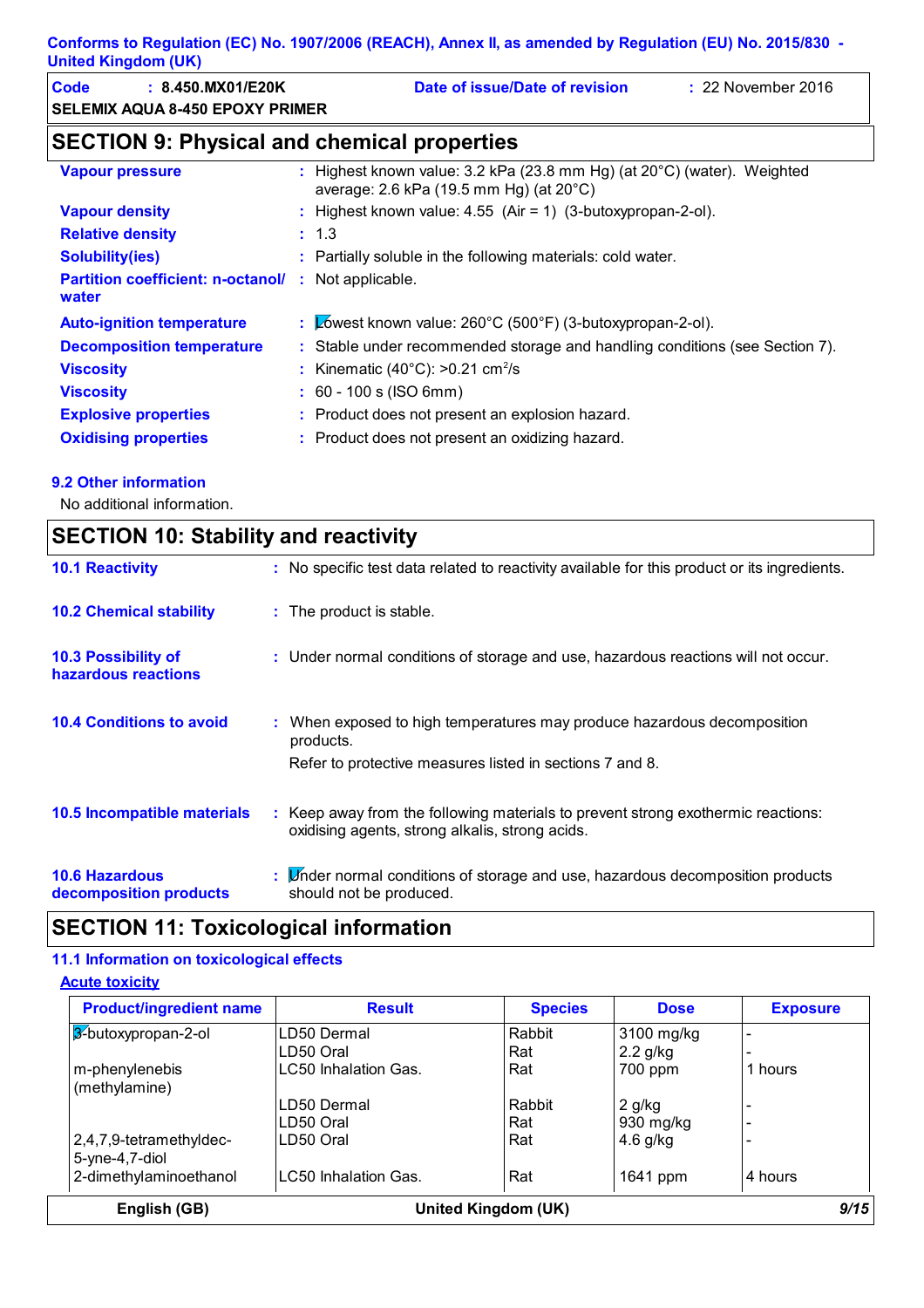| Code | : 8.450.MX01/E20K                      | Date of issue/Date of revision | $: 22$ November 2016 |
|------|----------------------------------------|--------------------------------|----------------------|
|      | <b>SELEMIX AQUA 8-450 EPOXY PRIMER</b> |                                |                      |

# **SECTION 9: Physical and chemical properties**

| <b>Vapour pressure</b>                                              | : Highest known value: $3.2$ kPa (23.8 mm Hg) (at $20^{\circ}$ C) (water). Weighted<br>average: 2.6 kPa (19.5 mm Hg) (at 20°C) |
|---------------------------------------------------------------------|--------------------------------------------------------------------------------------------------------------------------------|
| <b>Vapour density</b>                                               | : Highest known value: $4.55$ (Air = 1) (3-butoxypropan-2-ol).                                                                 |
| <b>Relative density</b>                                             | : 1.3                                                                                                                          |
| <b>Solubility(ies)</b>                                              | : Partially soluble in the following materials: cold water.                                                                    |
| <b>Partition coefficient: n-octanol/ :</b> Not applicable.<br>water |                                                                                                                                |
|                                                                     |                                                                                                                                |
| <b>Auto-ignition temperature</b>                                    | : $\&$ owest known value: 260°C (500°F) (3-butoxypropan-2-ol).                                                                 |
| <b>Decomposition temperature</b>                                    | : Stable under recommended storage and handling conditions (see Section 7).                                                    |
| <b>Viscosity</b>                                                    | : Kinematic (40 $^{\circ}$ C): >0.21 cm <sup>2</sup> /s                                                                        |
| <b>Viscosity</b>                                                    | $: 60 - 100$ s (ISO 6mm)                                                                                                       |
| <b>Explosive properties</b>                                         | : Product does not present an explosion hazard.                                                                                |
| <b>Oxidising properties</b>                                         | : Product does not present an oxidizing hazard.                                                                                |

#### **9.2 Other information**

No additional information.

| <b>SECTION 10: Stability and reactivity</b>       |                                                                                                                                                  |  |
|---------------------------------------------------|--------------------------------------------------------------------------------------------------------------------------------------------------|--|
| <b>10.1 Reactivity</b>                            | : No specific test data related to reactivity available for this product or its ingredients.                                                     |  |
| <b>10.2 Chemical stability</b>                    | : The product is stable.                                                                                                                         |  |
| <b>10.3 Possibility of</b><br>hazardous reactions | : Under normal conditions of storage and use, hazardous reactions will not occur.                                                                |  |
| <b>10.4 Conditions to avoid</b>                   | : When exposed to high temperatures may produce hazardous decomposition<br>products.<br>Refer to protective measures listed in sections 7 and 8. |  |
| <b>10.5 Incompatible materials</b>                | : Keep away from the following materials to prevent strong exothermic reactions:<br>oxidising agents, strong alkalis, strong acids.              |  |
| <b>10.6 Hazardous</b><br>decomposition products   | : L'inder normal conditions of storage and use, hazardous decomposition products<br>should not be produced.                                      |  |

# **SECTION 11: Toxicological information**

#### **11.1 Information on toxicological effects**

**Acute toxicity**

| <b>Product/ingredient name</b> | <b>Result</b>        | <b>Species</b> | <b>Dose</b> | <b>Exposure</b> |
|--------------------------------|----------------------|----------------|-------------|-----------------|
| 3-butoxypropan-2-ol            | LD50 Dermal          | Rabbit         | 3100 mg/kg  |                 |
|                                | LD50 Oral            | Rat            | $2.2$ g/kg  |                 |
| m-phenylenebis                 | LC50 Inhalation Gas. | Rat            | 700 ppm     | 1 hours         |
| (methylamine)                  |                      |                |             |                 |
|                                | LD50 Dermal          | Rabbit         | $2$ g/kg    |                 |
|                                | LD50 Oral            | Rat            | 930 mg/kg   |                 |
| 2,4,7,9-tetramethyldec-        | LD50 Oral            | Rat            | $4.6$ g/kg  |                 |
| $5$ -yne-4,7-diol              |                      |                |             |                 |
| 2-dimethylaminoethanol         | LC50 Inhalation Gas. | Rat            | 1641 ppm    | 4 hours         |
| English (GB)                   | United Kingdom (UK)  |                |             | 9/15            |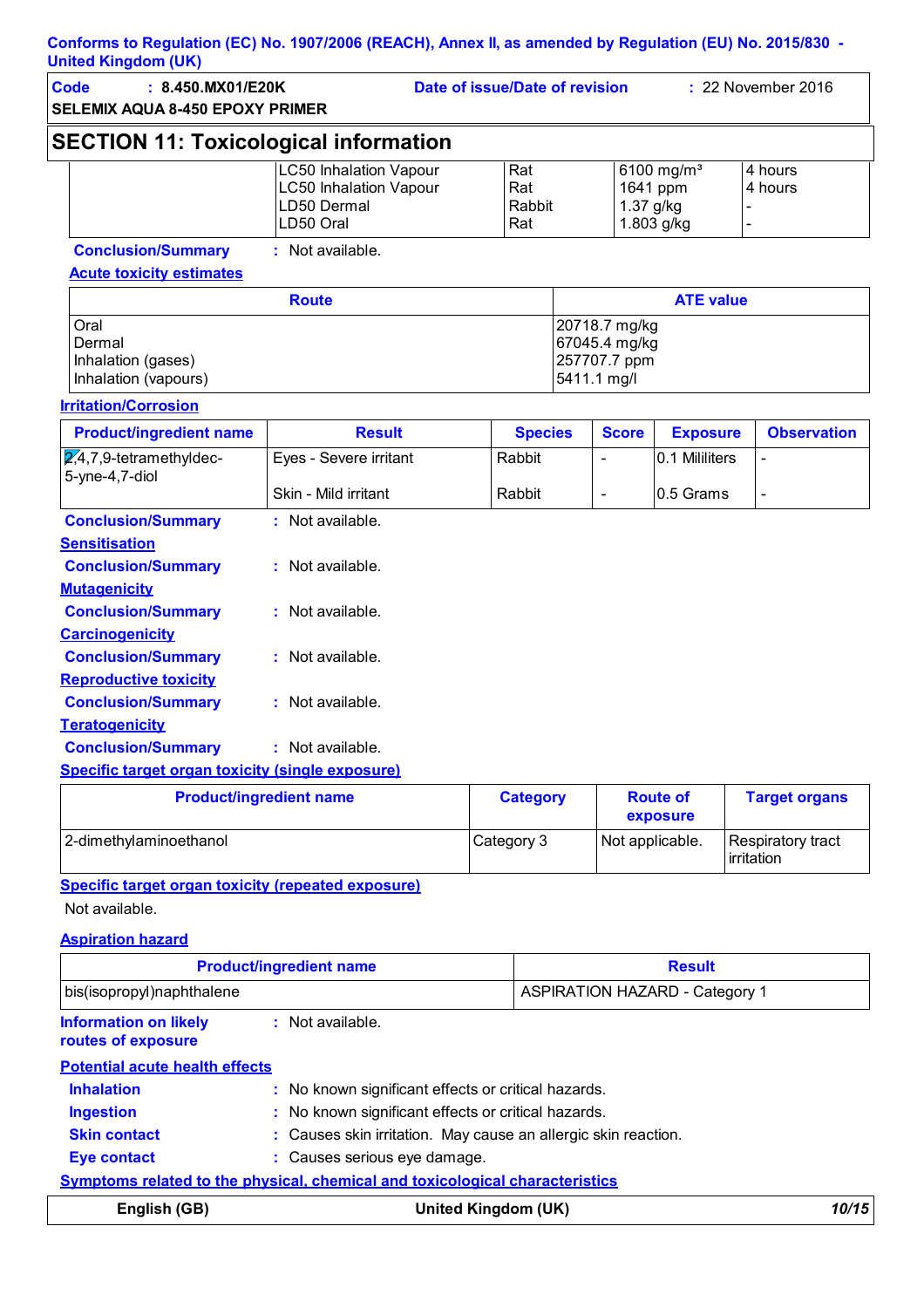| ymeu rmyuum (ur)                                                    |                                                                                     |                                |                                                               |              |                                                  |                                      |
|---------------------------------------------------------------------|-------------------------------------------------------------------------------------|--------------------------------|---------------------------------------------------------------|--------------|--------------------------------------------------|--------------------------------------|
| Code<br>: 8.450.MX01/E20K<br><b>SELEMIX AQUA 8-450 EPOXY PRIMER</b> |                                                                                     | Date of issue/Date of revision |                                                               |              |                                                  | : 22 November 2016                   |
| <b>SECTION 11: Toxicological information</b>                        |                                                                                     |                                |                                                               |              |                                                  |                                      |
|                                                                     | <b>LC50 Inhalation Vapour</b><br>LC50 Inhalation Vapour<br>LD50 Dermal<br>LD50 Oral | Rat<br>Rat<br>Rabbit<br>Rat    |                                                               | 1.37 g/kg    | 6100 mg/m <sup>3</sup><br>1641 ppm<br>1.803 g/kg | 4 hours<br>4 hours<br>$\overline{a}$ |
| <b>Conclusion/Summary</b><br><b>Acute toxicity estimates</b>        | : Not available.                                                                    |                                |                                                               |              |                                                  |                                      |
|                                                                     | <b>Route</b>                                                                        |                                |                                                               |              | <b>ATE value</b>                                 |                                      |
| Oral<br>Dermal<br>Inhalation (gases)<br>Inhalation (vapours)        |                                                                                     |                                | 20718.7 mg/kg<br>67045.4 mg/kg<br>257707.7 ppm<br>5411.1 mg/l |              |                                                  |                                      |
| <b>Irritation/Corrosion</b>                                         |                                                                                     |                                |                                                               |              |                                                  |                                      |
| <b>Product/ingredient name</b>                                      | <b>Result</b>                                                                       | <b>Species</b>                 |                                                               | <b>Score</b> | <b>Exposure</b>                                  | <b>Observation</b>                   |
| $2,4,7,9$ -tetramethyldec-<br>5-yne-4,7-diol                        | Eyes - Severe irritant<br>Skin - Mild irritant                                      | Rabbit<br>Rabbit               | $\blacksquare$<br>$\blacksquare$                              |              | 0.1 Mililiters<br>0.5 Grams                      | $\qquad \qquad \blacksquare$         |
| <b>Conclusion/Summary</b><br><b>Sensitisation</b>                   | : Not available.                                                                    |                                |                                                               |              |                                                  |                                      |
| <b>Conclusion/Summary</b><br><b>Mutagenicity</b>                    | : Not available.                                                                    |                                |                                                               |              |                                                  |                                      |
| <b>Conclusion/Summary</b><br><b>Carcinogenicity</b>                 | : Not available.                                                                    |                                |                                                               |              |                                                  |                                      |
| <b>Conclusion/Summary</b><br><b>Reproductive toxicity</b>           | : Not available.                                                                    |                                |                                                               |              |                                                  |                                      |
| <b>Conclusion/Summary</b><br><b>Teratogenicity</b>                  | : Not available.                                                                    |                                |                                                               |              |                                                  |                                      |

### **Conclusion/Summary :** Not available.

#### **Specific target organ toxicity (single exposure)**

| <b>Product/ingredient name</b> | <b>Category</b> | <b>Route of</b><br>exposure | <b>Target organs</b>                     |
|--------------------------------|-----------------|-----------------------------|------------------------------------------|
| 2-dimethylaminoethanol         | Category 3      | Not applicable.             | Respiratory tract<br><b>l</b> irritation |

### **Specific target organ toxicity (repeated exposure)**

Not available.

**Aspiration hazard**

|                                                    | <b>Product/ingredient name</b>                                                      | <b>Result</b>                         |       |
|----------------------------------------------------|-------------------------------------------------------------------------------------|---------------------------------------|-------|
| bis(isopropyl)naphthalene                          |                                                                                     | <b>ASPIRATION HAZARD - Category 1</b> |       |
| <b>Information on likely</b><br>routes of exposure | $:$ Not available.                                                                  |                                       |       |
| <b>Potential acute health effects</b>              |                                                                                     |                                       |       |
| <b>Inhalation</b>                                  | : No known significant effects or critical hazards.                                 |                                       |       |
| <b>Ingestion</b>                                   | : No known significant effects or critical hazards.                                 |                                       |       |
| <b>Skin contact</b>                                | : Causes skin irritation. May cause an allergic skin reaction.                      |                                       |       |
| <b>Eye contact</b>                                 | : Causes serious eye damage.                                                        |                                       |       |
|                                                    | <b>Symptoms related to the physical, chemical and toxicological characteristics</b> |                                       |       |
| English (GB)                                       |                                                                                     | United Kingdom (UK)                   | 10/15 |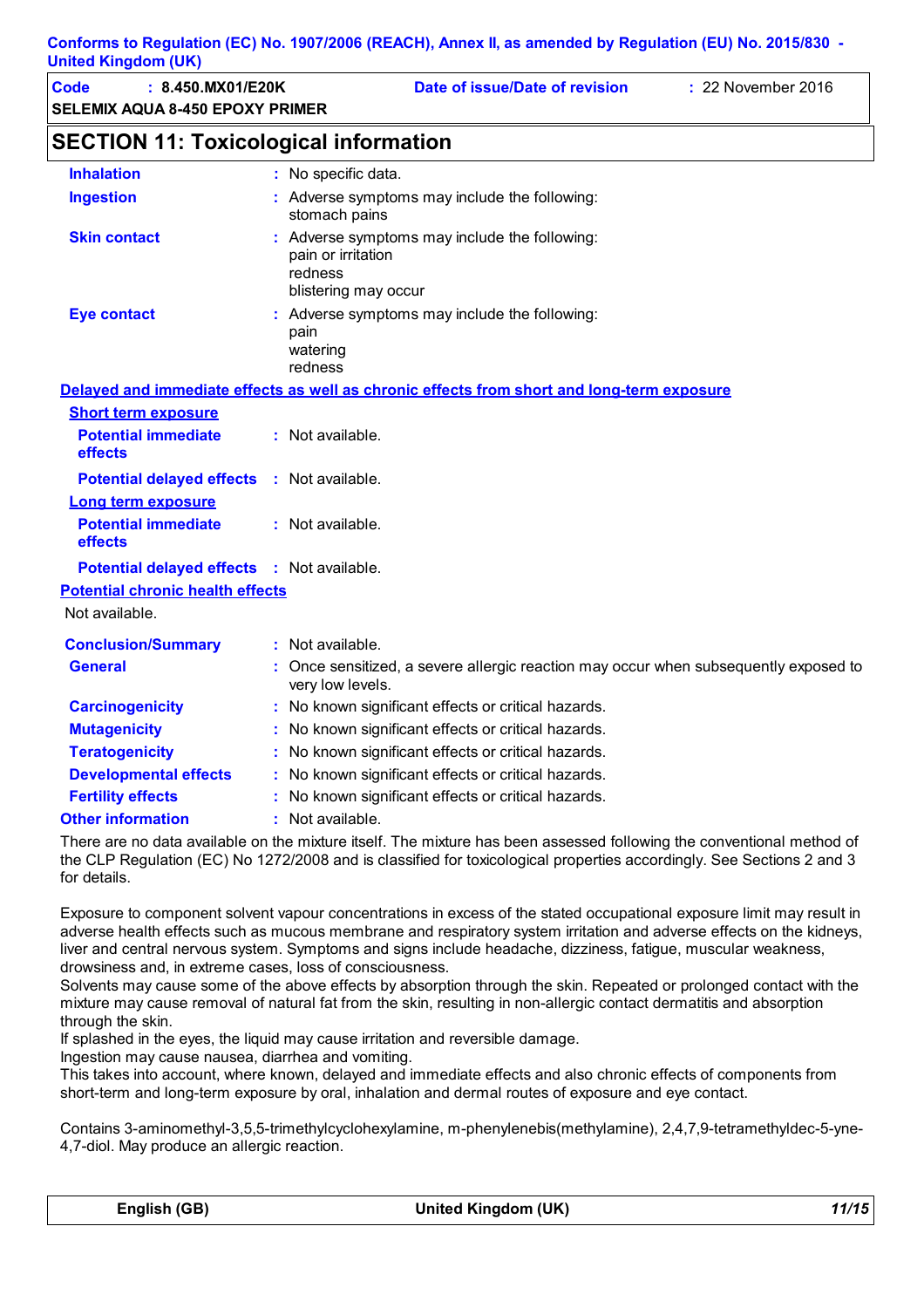| <b>United Kingdom (UK)</b>                                          |                                                                                                        |
|---------------------------------------------------------------------|--------------------------------------------------------------------------------------------------------|
| Code<br>: 8.450.MX01/E20K<br><b>SELEMIX AQUA 8-450 EPOXY PRIMER</b> | Date of issue/Date of revision<br>: 22 November 2016                                                   |
| <b>SECTION 11: Toxicological information</b>                        |                                                                                                        |
| <b>Inhalation</b>                                                   | : No specific data.                                                                                    |
| <b>Ingestion</b>                                                    | : Adverse symptoms may include the following:<br>stomach pains                                         |
| <b>Skin contact</b>                                                 | : Adverse symptoms may include the following:<br>pain or irritation<br>redness<br>blistering may occur |
| <b>Eye contact</b>                                                  | : Adverse symptoms may include the following:<br>pain<br>watering<br>redness                           |
|                                                                     | Delayed and immediate effects as well as chronic effects from short and long-term exposure             |
| <b>Short term exposure</b>                                          |                                                                                                        |
| <b>Potential immediate</b><br>effects                               | : Not available.                                                                                       |
| <b>Potential delayed effects</b><br><b>Long term exposure</b>       | : Not available.                                                                                       |
| <b>Potential immediate</b><br>effects                               | : Not available.                                                                                       |
| Potential delayed effects : Not available.                          |                                                                                                        |
| <b>Potential chronic health effects</b>                             |                                                                                                        |
| Not available.                                                      |                                                                                                        |
| <b>Conclusion/Summary</b>                                           | : Not available.                                                                                       |
| <b>General</b>                                                      | Once sensitized, a severe allergic reaction may occur when subsequently exposed to<br>very low levels. |
| <b>Carcinogenicity</b>                                              | : No known significant effects or critical hazards.                                                    |
| <b>Mutagenicity</b>                                                 | No known significant effects or critical hazards.                                                      |
| <b>Teratogenicity</b>                                               | No known significant effects or critical hazards.                                                      |
| <b>Developmental effects</b>                                        | No known significant effects or critical hazards.                                                      |
| <b>Fertility effects</b>                                            | : No known significant effects or critical hazards.                                                    |

**Other information :** : Not available.

There are no data available on the mixture itself. The mixture has been assessed following the conventional method of the CLP Regulation (EC) No 1272/2008 and is classified for toxicological properties accordingly. See Sections 2 and 3 for details.

Exposure to component solvent vapour concentrations in excess of the stated occupational exposure limit may result in adverse health effects such as mucous membrane and respiratory system irritation and adverse effects on the kidneys, liver and central nervous system. Symptoms and signs include headache, dizziness, fatigue, muscular weakness, drowsiness and, in extreme cases, loss of consciousness.

Solvents may cause some of the above effects by absorption through the skin. Repeated or prolonged contact with the mixture may cause removal of natural fat from the skin, resulting in non-allergic contact dermatitis and absorption through the skin.

If splashed in the eyes, the liquid may cause irritation and reversible damage.

Ingestion may cause nausea, diarrhea and vomiting.

This takes into account, where known, delayed and immediate effects and also chronic effects of components from short-term and long-term exposure by oral, inhalation and dermal routes of exposure and eye contact.

Contains 3-aminomethyl-3,5,5-trimethylcyclohexylamine, m-phenylenebis(methylamine), 2,4,7,9-tetramethyldec-5-yne-4,7-diol. May produce an allergic reaction.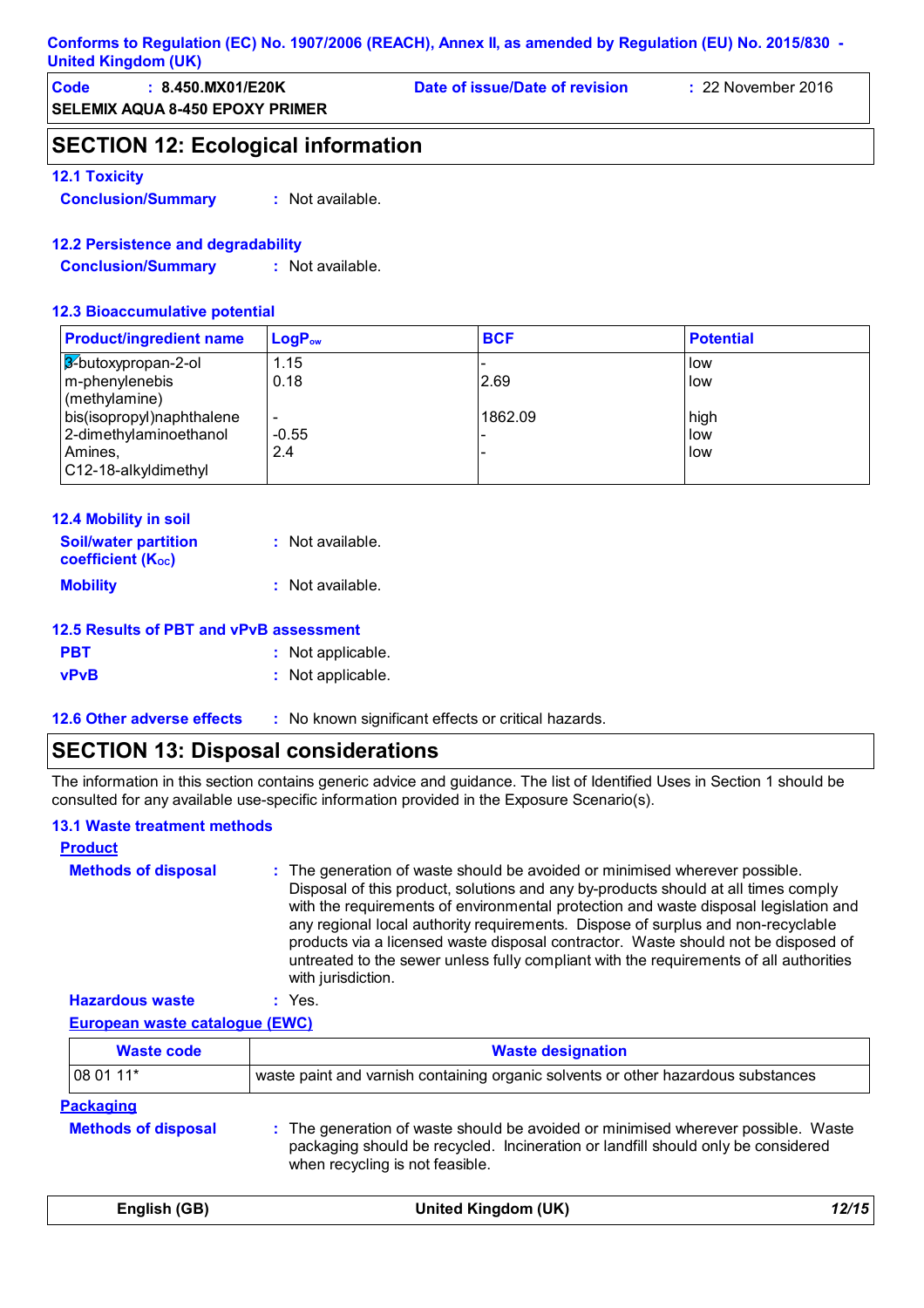#### **Conforms to Regulation (EC) No. 1907/2006 (REACH), Annex II, as amended by Regulation (EU) No. 2015/830 - United Kingdom (UK)**

| Code | : 8.450.MX01/E20K                      | Date of issue/Date of revision | $\div$ 22 November 2016 |
|------|----------------------------------------|--------------------------------|-------------------------|
|      | <b>SELEMIX AQUA 8-450 EPOXY PRIMER</b> |                                |                         |

# **SECTION 12: Ecological information**

#### **12.1 Toxicity**

**Conclusion/Summary :** Not available.

#### **12.2 Persistence and degradability**

**Conclusion/Summary :** Not available.

#### **12.3 Bioaccumulative potential**

| <b>Product/ingredient name</b>                                                                                           | $\mathsf{LogP}_\mathsf{ow}$                                | <b>BCF</b>      | <b>Potential</b>                                            |
|--------------------------------------------------------------------------------------------------------------------------|------------------------------------------------------------|-----------------|-------------------------------------------------------------|
| 3-butoxypropan-2-ol<br>m-phenylenebis<br>(methylamine)<br>bis(isopropyl)naphthalene<br>2-dimethylaminoethanol<br>Amines, | 1.15<br>0.18<br>$\overline{\phantom{0}}$<br>$-0.55$<br>2.4 | 2.69<br>1862.09 | <b>I</b> low<br><b>I</b> low<br>high<br>low<br><b>I</b> low |
| C12-18-alkyldimethyl                                                                                                     |                                                            |                 |                                                             |

| <b>12.4 Mobility in soil</b>                            |                  |
|---------------------------------------------------------|------------------|
| <b>Soil/water partition</b><br><b>coefficient (Koc)</b> | : Not available. |
| <b>Mobility</b>                                         | : Not available. |

| 12.5 Results of PBT and vPvB assessment |                   |
|-----------------------------------------|-------------------|
| <b>PBT</b>                              | : Not applicable. |
| <b>vPvB</b>                             | : Not applicable. |

**12.6 Other adverse effects** : No known significant effects or critical hazards.

# **SECTION 13: Disposal considerations**

The information in this section contains generic advice and guidance. The list of Identified Uses in Section 1 should be consulted for any available use-specific information provided in the Exposure Scenario(s).

#### **13.1 Waste treatment methods**

| <b>Product</b>             |                                                                                                                                                                                                                                                                                                                                                                                                                                                                                                                                                     |
|----------------------------|-----------------------------------------------------------------------------------------------------------------------------------------------------------------------------------------------------------------------------------------------------------------------------------------------------------------------------------------------------------------------------------------------------------------------------------------------------------------------------------------------------------------------------------------------------|
| <b>Methods of disposal</b> | : The generation of waste should be avoided or minimised wherever possible.<br>Disposal of this product, solutions and any by-products should at all times comply<br>with the requirements of environmental protection and waste disposal legislation and<br>any regional local authority requirements. Dispose of surplus and non-recyclable<br>products via a licensed waste disposal contractor. Waste should not be disposed of<br>untreated to the sewer unless fully compliant with the requirements of all authorities<br>with jurisdiction. |
| <b>Hazardous waste</b>     | $:$ Yes.                                                                                                                                                                                                                                                                                                                                                                                                                                                                                                                                            |

**European waste catalogue (EWC)**

| <b>Waste code</b>                              | <b>Waste designation</b>                                                                                                                                                                                 |
|------------------------------------------------|----------------------------------------------------------------------------------------------------------------------------------------------------------------------------------------------------------|
| 08 01 11*                                      | waste paint and varnish containing organic solvents or other hazardous substances                                                                                                                        |
| <b>Packaging</b><br><b>Methods of disposal</b> | : The generation of waste should be avoided or minimised wherever possible. Waste<br>packaging should be recycled. Incineration or landfill should only be considered<br>when recycling is not feasible. |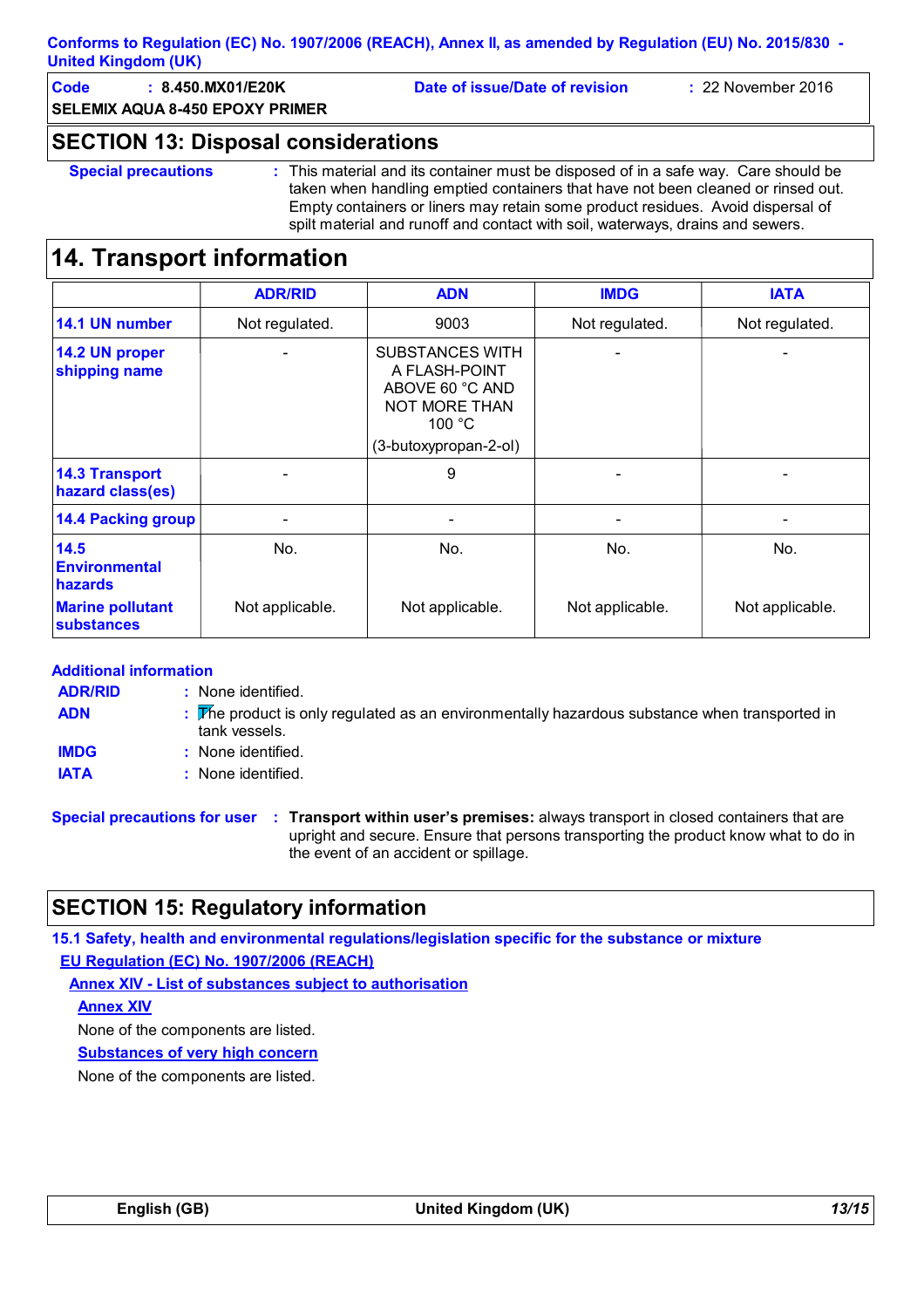#### **Conforms to Regulation (EC) No. 1907/2006 (REACH), Annex II, as amended by Regulation (EU) No. 2015/830 - United Kingdom (UK)**

**Code : 8.450.MX01/E20K Date of issue/Date of revision :** 22 November 2016

**SELEMIX AQUA 8-450 EPOXY PRIMER**

### **SECTION 13: Disposal considerations**

**Special precautions :** This material and its container must be disposed of in a safe way. Care should be taken when handling emptied containers that have not been cleaned or rinsed out. Empty containers or liners may retain some product residues. Avoid dispersal of spilt material and runoff and contact with soil, waterways, drains and sewers.

# **14. Transport information**

|                                                | <b>ADR/RID</b>           | <b>ADN</b>                                                                                                            | <b>IMDG</b>     | <b>IATA</b>     |
|------------------------------------------------|--------------------------|-----------------------------------------------------------------------------------------------------------------------|-----------------|-----------------|
| 14.1 UN number                                 | Not regulated.           | 9003                                                                                                                  | Not regulated.  | Not regulated.  |
| 14.2 UN proper<br>shipping name                |                          | <b>SUBSTANCES WITH</b><br>A FLASH-POINT<br>ABOVE 60 °C AND<br><b>NOT MORE THAN</b><br>100 °C<br>(3-butoxypropan-2-ol) |                 |                 |
| <b>14.3 Transport</b><br>hazard class(es)      | $\overline{\phantom{0}}$ | 9                                                                                                                     |                 |                 |
| <b>14.4 Packing group</b>                      |                          | -                                                                                                                     |                 |                 |
| 14.5<br><b>Environmental</b><br><b>hazards</b> | No.                      | No.                                                                                                                   | No.             | No.             |
| <b>Marine pollutant</b><br><b>substances</b>   | Not applicable.          | Not applicable.                                                                                                       | Not applicable. | Not applicable. |

#### **Additional information**

| <b>ADR/RID</b> | : None identified.                                                                                             |
|----------------|----------------------------------------------------------------------------------------------------------------|
| <b>ADN</b>     | : The product is only regulated as an environmentally hazardous substance when transported in<br>tank vessels. |
| <b>IMDG</b>    | : None identified.                                                                                             |
| <b>IATA</b>    | : None identified.                                                                                             |

**Special precautions for user Transport within user's premises:** always transport in closed containers that are **:** upright and secure. Ensure that persons transporting the product know what to do in the event of an accident or spillage.

# **SECTION 15: Regulatory information**

**15.1 Safety, health and environmental regulations/legislation specific for the substance or mixture**

**EU Regulation (EC) No. 1907/2006 (REACH)**

**Annex XIV - List of substances subject to authorisation**

**Annex XIV**

None of the components are listed.

**Substances of very high concern**

None of the components are listed.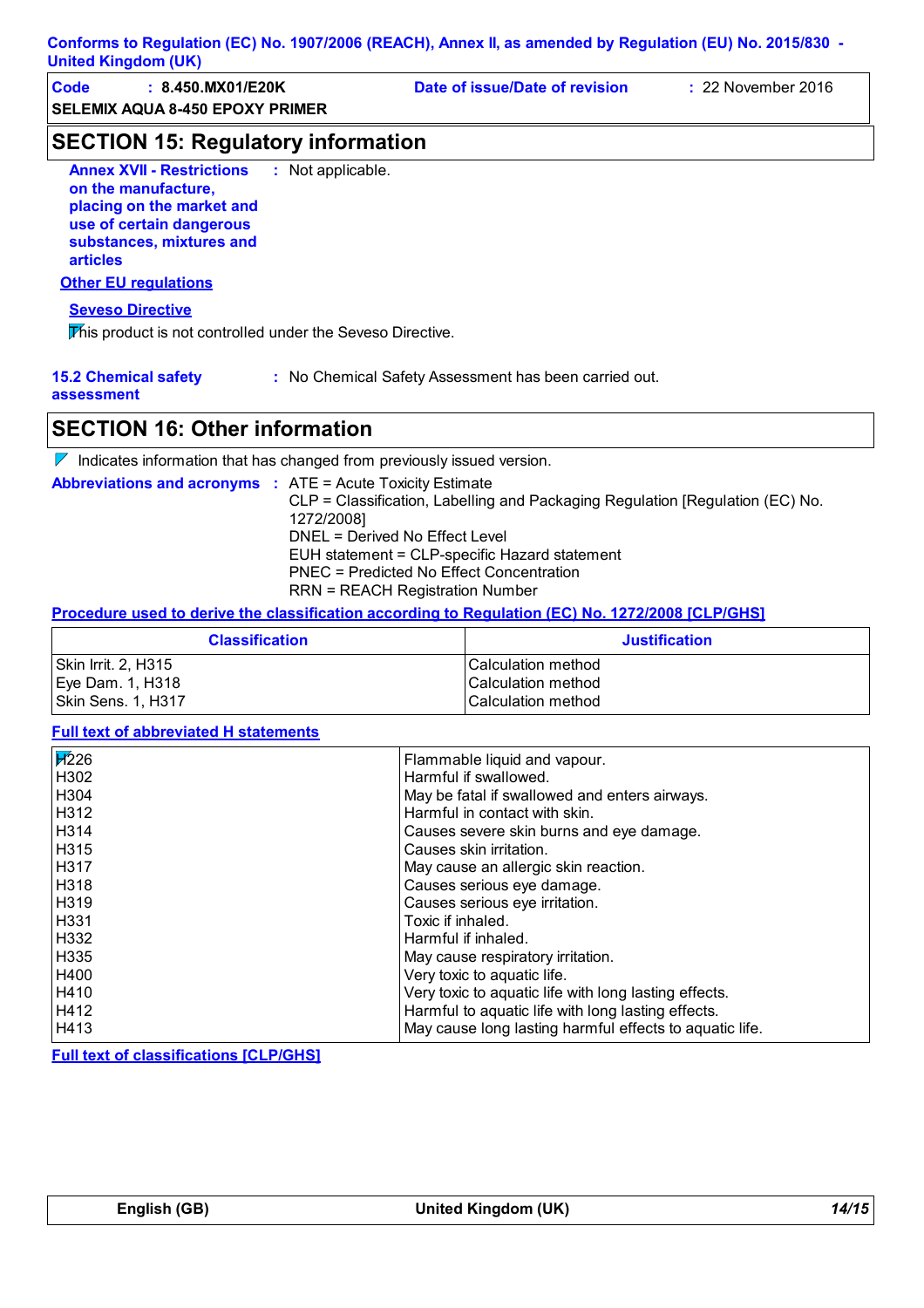| Conforms to Regulation (EC) No. 1907/2006 (REACH), Annex II, as amended by Regulation (EU) No. 2015/830 -<br><b>United Kingdom (UK)</b>                                                        |                                                                                                                                                                                            |                                                                               |                      |
|------------------------------------------------------------------------------------------------------------------------------------------------------------------------------------------------|--------------------------------------------------------------------------------------------------------------------------------------------------------------------------------------------|-------------------------------------------------------------------------------|----------------------|
| Code<br>: 8.450.MX01/E20K<br><b>SELEMIX AQUA 8-450 EPOXY PRIMER</b>                                                                                                                            |                                                                                                                                                                                            | Date of issue/Date of revision                                                | : 22 November 2016   |
| <b>SECTION 15: Regulatory information</b>                                                                                                                                                      |                                                                                                                                                                                            |                                                                               |                      |
| <b>Annex XVII - Restrictions</b><br>on the manufacture,<br>placing on the market and<br>use of certain dangerous<br>substances, mixtures and<br><b>articles</b><br><b>Other EU requlations</b> | : Not applicable.                                                                                                                                                                          |                                                                               |                      |
|                                                                                                                                                                                                |                                                                                                                                                                                            |                                                                               |                      |
| <b>Seveso Directive</b><br>This product is not controlled under the Seveso Directive.                                                                                                          |                                                                                                                                                                                            |                                                                               |                      |
| <b>15.2 Chemical safety</b><br>assessment<br><b>SECTION 16: Other information</b>                                                                                                              |                                                                                                                                                                                            | : No Chemical Safety Assessment has been carried out.                         |                      |
| $\nabla$ Indicates information that has changed from previously issued version.                                                                                                                |                                                                                                                                                                                            |                                                                               |                      |
| <b>Abbreviations and acronyms : ATE = Acute Toxicity Estimate</b>                                                                                                                              | 1272/2008]<br>DNEL = Derived No Effect Level<br>EUH statement = CLP-specific Hazard statement<br><b>PNEC = Predicted No Effect Concentration</b><br><b>RRN = REACH Registration Number</b> | CLP = Classification, Labelling and Packaging Regulation [Regulation (EC) No. |                      |
| Procedure used to derive the classification according to Regulation (EC) No. 1272/2008 [CLP/GHS]                                                                                               |                                                                                                                                                                                            |                                                                               |                      |
| <b>Classification</b>                                                                                                                                                                          |                                                                                                                                                                                            |                                                                               | <b>Justification</b> |
| Skin Irrit. 2, H315<br>Eye Dam. 1, H318<br>Skin Sens. 1, H317                                                                                                                                  |                                                                                                                                                                                            | Calculation method<br>Calculation method<br>Calculation method                |                      |

### **Full text of abbreviated H statements**

| $\cancel{17226}$ | Flammable liquid and vapour.                            |
|------------------|---------------------------------------------------------|
| H302             | Harmful if swallowed.                                   |
| H <sub>304</sub> | May be fatal if swallowed and enters airways.           |
| H312             | Harmful in contact with skin.                           |
| H314             | Causes severe skin burns and eye damage.                |
| H315             | Causes skin irritation.                                 |
| H317             | May cause an allergic skin reaction.                    |
| H318             | Causes serious eye damage.                              |
| H319             | Causes serious eye irritation.                          |
| H331             | Toxic if inhaled.                                       |
| H332             | Harmful if inhaled.                                     |
| H335             | May cause respiratory irritation.                       |
| H400             | Very toxic to aquatic life.                             |
| H410             | Very toxic to aquatic life with long lasting effects.   |
| H412             | Harmful to aquatic life with long lasting effects.      |
| H413             | May cause long lasting harmful effects to aquatic life. |

**Full text of classifications [CLP/GHS]**